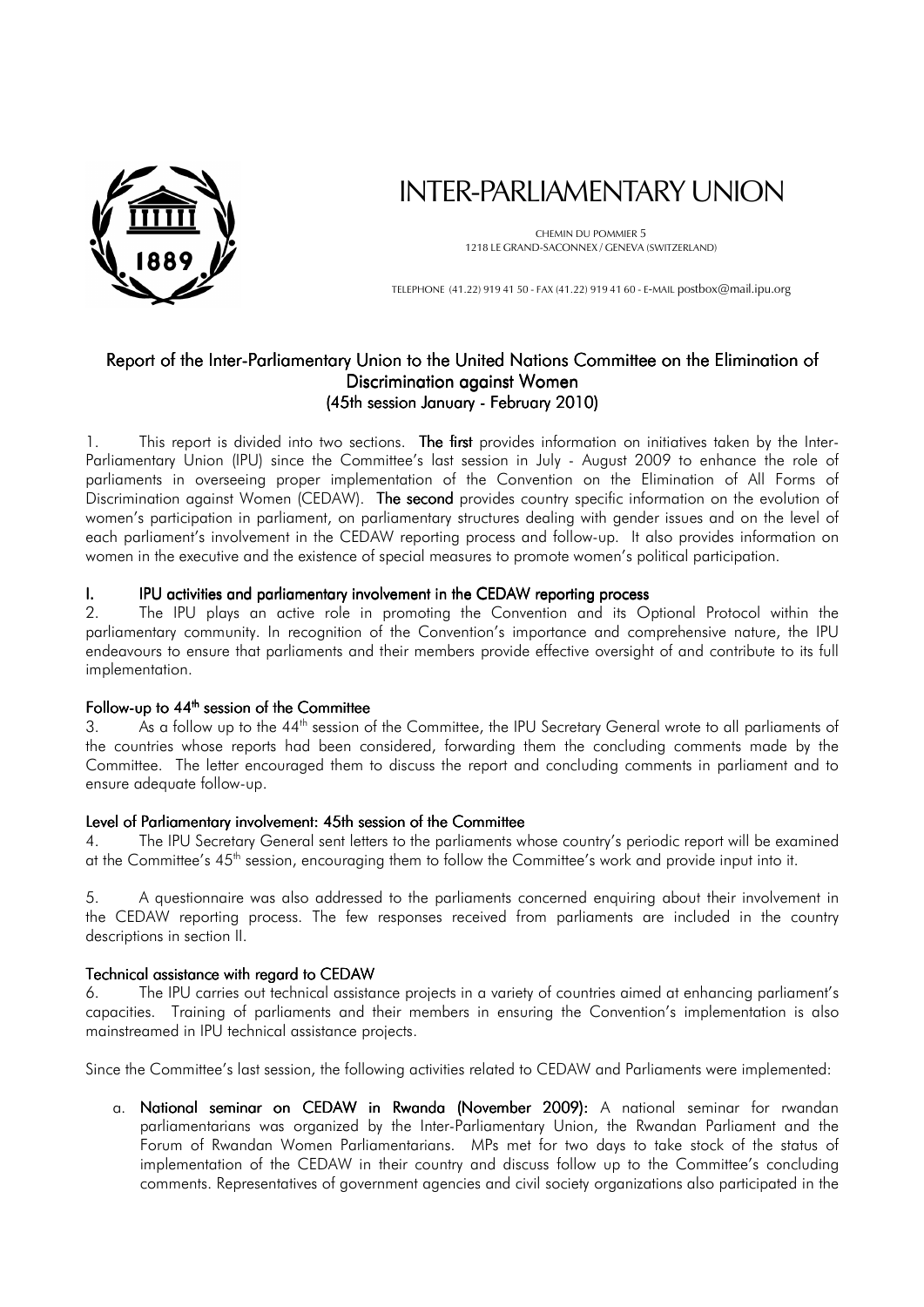

# INTER-PARLIAMENTARY UNION

CHEMIN DU POMMIER 5 1218 LE GRAND-SACONNEX / GENEVA (SWITZERLAND)

TELEPHONE (41.22) 919 41 50 - FAX (41.22) 919 41 60 - E-MAIL postbox@mail.ipu.org

## Report of the Inter-Parliamentary Union to the United Nations Committee on the Elimination of Discrimination against Women (45th session January - February 2010)

1. This report is divided into two sections. The first provides information on initiatives taken by the Inter-Parliamentary Union (IPU) since the Committee's last session in July - August 2009 to enhance the role of parliaments in overseeing proper implementation of the Convention on the Elimination of All Forms of Discrimination against Women (CEDAW). The second provides country specific information on the evolution of women's participation in parliament, on parliamentary structures dealing with gender issues and on the level of each parliament's involvement in the CEDAW reporting process and follow-up. It also provides information on women in the executive and the existence of special measures to promote women's political participation.

## I. IPU activities and parliamentary involvement in the CEDAW reporting process

2. The IPU plays an active role in promoting the Convention and its Optional Protocol within the parliamentary community. In recognition of the Convention's importance and comprehensive nature, the IPU endeavours to ensure that parliaments and their members provide effective oversight of and contribute to its full implementation.

## Follow-up to 44<sup>th</sup> session of the Committee

3. As a follow up to the 44<sup>th</sup> session of the Committee, the IPU Secretary General wrote to all parliaments of the countries whose reports had been considered, forwarding them the concluding comments made by the Committee. The letter encouraged them to discuss the report and concluding comments in parliament and to ensure adequate follow-up.

## Level of Parliamentary involvement: 45th session of the Committee

4. The IPU Secretary General sent letters to the parliaments whose country's periodic report will be examined at the Committee's 45<sup>th</sup> session, encouraging them to follow the Committee's work and provide input into it.

5. A questionnaire was also addressed to the parliaments concerned enquiring about their involvement in the CEDAW reporting process. The few responses received from parliaments are included in the country descriptions in section II.

## Technical assistance with regard to CEDAW

6. The IPU carries out technical assistance projects in a variety of countries aimed at enhancing parliament's capacities. Training of parliaments and their members in ensuring the Convention's implementation is also mainstreamed in IPU technical assistance projects.

Since the Committee's last session, the following activities related to CEDAW and Parliaments were implemented:

a. National seminar on CEDAW in Rwanda (November 2009): A national seminar for rwandan parliamentarians was organized by the Inter-Parliamentary Union, the Rwandan Parliament and the Forum of Rwandan Women Parliamentarians. MPs met for two days to take stock of the status of implementation of the CEDAW in their country and discuss follow up to the Committee's concluding comments. Representatives of government agencies and civil society organizations also participated in the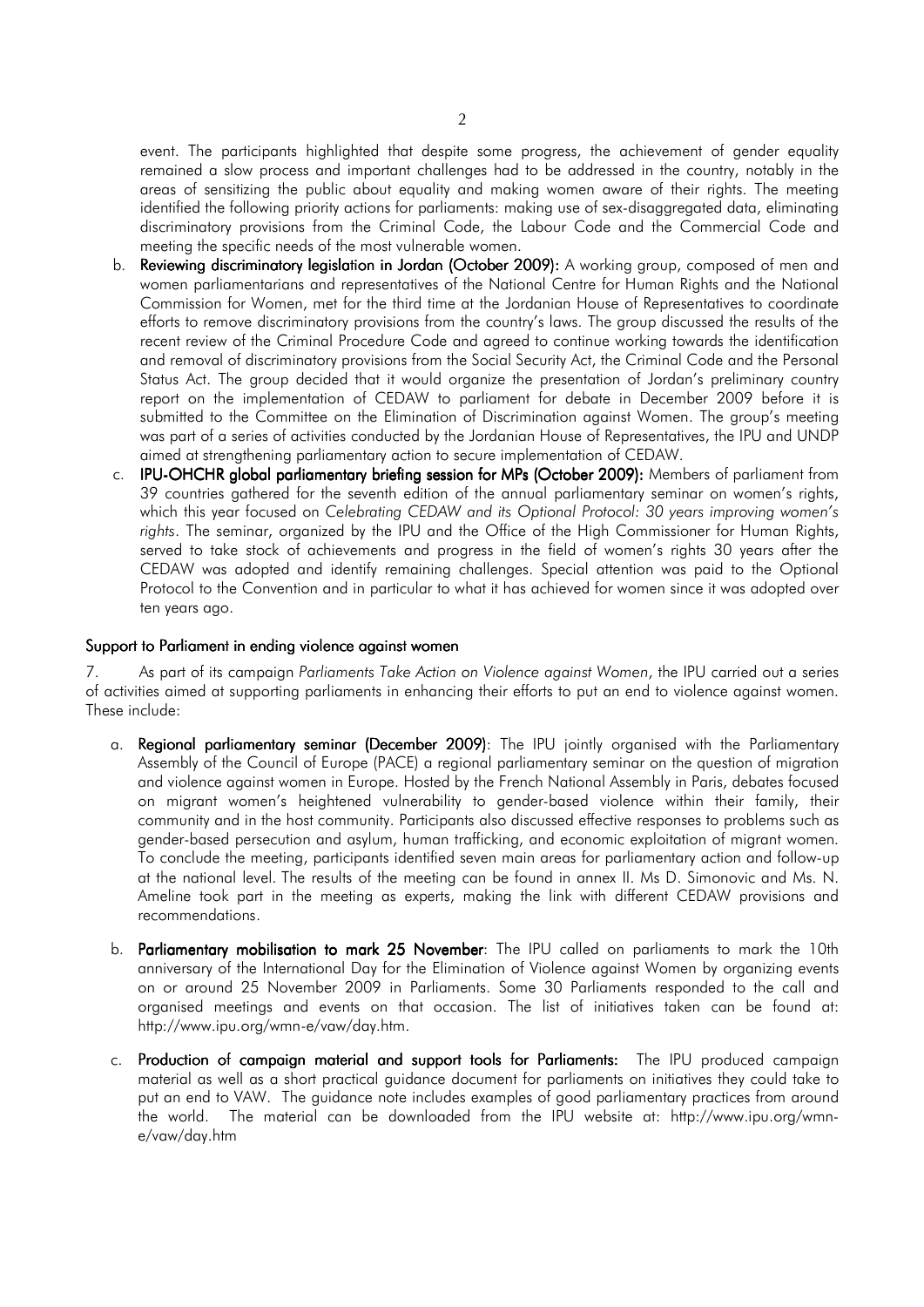event. The participants highlighted that despite some progress, the achievement of gender equality remained a slow process and important challenges had to be addressed in the country, notably in the areas of sensitizing the public about equality and making women aware of their rights. The meeting identified the following priority actions for parliaments: making use of sex-disaggregated data, eliminating discriminatory provisions from the Criminal Code, the Labour Code and the Commercial Code and meeting the specific needs of the most vulnerable women.

- b. Reviewing discriminatory legislation in Jordan (October 2009): A working group, composed of men and women parliamentarians and representatives of the National Centre for Human Rights and the National Commission for Women, met for the third time at the Jordanian House of Representatives to coordinate efforts to remove discriminatory provisions from the country's laws. The group discussed the results of the recent review of the Criminal Procedure Code and agreed to continue working towards the identification and removal of discriminatory provisions from the Social Security Act, the Criminal Code and the Personal Status Act. The group decided that it would organize the presentation of Jordan's preliminary country report on the implementation of CEDAW to parliament for debate in December 2009 before it is submitted to the Committee on the Elimination of Discrimination against Women. The group's meeting was part of a series of activities conducted by the Jordanian House of Representatives, the IPU and UNDP aimed at strengthening parliamentary action to secure implementation of CEDAW.
- c. IPU-OHCHR global parliamentary briefing session for MPs (October 2009): Members of parliament from 39 countries gathered for the seventh edition of the annual parliamentary seminar on women's rights, which this year focused on *Celebrating CEDAW and its Optional Protocol: 30 years improving women's rights*. The seminar, organized by the IPU and the Office of the High Commissioner for Human Rights, served to take stock of achievements and progress in the field of women's rights 30 years after the CEDAW was adopted and identify remaining challenges. Special attention was paid to the Optional Protocol to the Convention and in particular to what it has achieved for women since it was adopted over ten years ago.

## Support to Parliament in ending violence against women

7. As part of its campaign *Parliaments Take Action on Violence against Women*, the IPU carried out a series of activities aimed at supporting parliaments in enhancing their efforts to put an end to violence against women. These include:

- a. Regional parliamentary seminar (December 2009): The IPU jointly organised with the Parliamentary Assembly of the Council of Europe (PACE) a regional parliamentary seminar on the question of migration and violence against women in Europe. Hosted by the French National Assembly in Paris, debates focused on migrant women's heightened vulnerability to gender-based violence within their family, their community and in the host community. Participants also discussed effective responses to problems such as gender-based persecution and asylum, human trafficking, and economic exploitation of migrant women. To conclude the meeting, participants identified seven main areas for parliamentary action and follow-up at the national level. The results of the meeting can be found in annex II. Ms D. Simonovic and Ms. N. Ameline took part in the meeting as experts, making the link with different CEDAW provisions and recommendations.
- b. Parliamentary mobilisation to mark 25 November: The IPU called on parliaments to mark the 10th anniversary of the International Day for the Elimination of Violence against Women by organizing events on or around 25 November 2009 in Parliaments. Some 30 Parliaments responded to the call and organised meetings and events on that occasion. The list of initiatives taken can be found at: http://www.ipu.org/wmn-e/vaw/day.htm.
- c. Production of campaign material and support tools for Parliaments: The IPU produced campaign material as well as a short practical guidance document for parliaments on initiatives they could take to put an end to VAW. The guidance note includes examples of good parliamentary practices from around the world. The material can be downloaded from the IPU website at: http://www.ipu.org/wmne/vaw/day.htm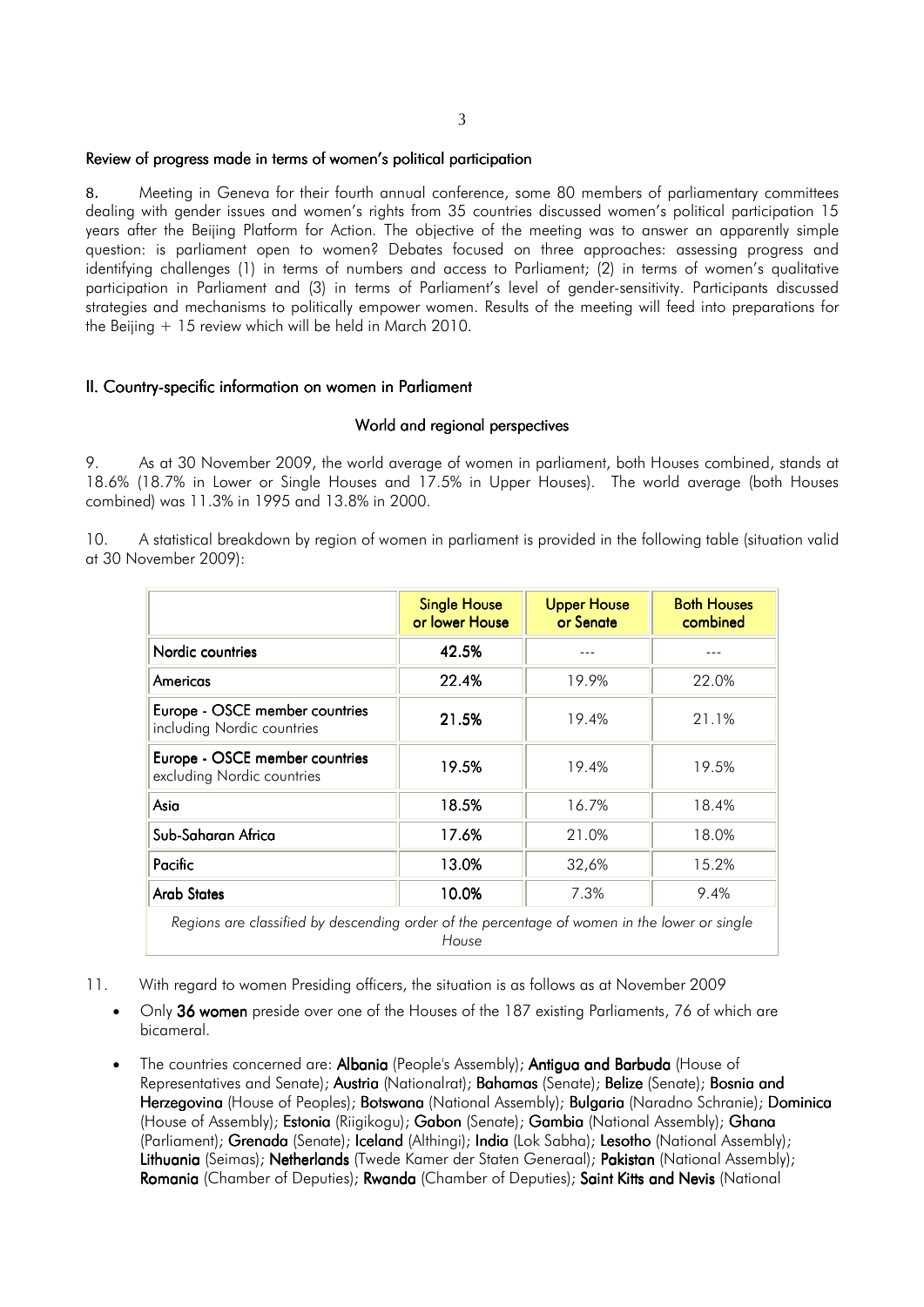## Review of progress made in terms of women's political participation

8.Meeting in Geneva for their fourth annual conference, some 80 members of parliamentary committees dealing with gender issues and women's rights from 35 countries discussed women's political participation 15 years after the Beijing Platform for Action. The objective of the meeting was to answer an apparently simple question: is parliament open to women? Debates focused on three approaches: assessing progress and identifying challenges (1) in terms of numbers and access to Parliament; (2) in terms of women's qualitative participation in Parliament and (3) in terms of Parliament's level of gender-sensitivity. Participants discussed strategies and mechanisms to politically empower women. Results of the meeting will feed into preparations for the Beijing + 15 review which will be held in March 2010.

## II. Country-specific information on women in Parliament

## World and regional perspectives

9. As at 30 November 2009, the world average of women in parliament, both Houses combined, stands at 18.6% (18.7% in Lower or Single Houses and 17.5% in Upper Houses). The world average (both Houses combined) was 11.3% in 1995 and 13.8% in 2000.

10. A statistical breakdown by region of women in parliament is provided in the following table (situation valid at 30 November 2009):

|                                                                                                       | <b>Single House</b><br>or lower House | <b>Upper House</b><br>or Senate | <b>Both Houses</b><br>combined |  |
|-------------------------------------------------------------------------------------------------------|---------------------------------------|---------------------------------|--------------------------------|--|
| Nordic countries                                                                                      | 42.5%                                 |                                 |                                |  |
| Americas                                                                                              | 22.4%                                 | 19.9%                           | 22.0%                          |  |
| Europe - OSCE member countries<br>including Nordic countries                                          | 21.5%                                 | 19.4%                           | 21.1%                          |  |
| Europe - OSCE member countries<br>excluding Nordic countries                                          | 19.5%                                 | 19.4%                           | 19.5%                          |  |
| Asia                                                                                                  | 18.5%                                 | 16.7%                           | 18.4%                          |  |
| Sub-Saharan Africa                                                                                    | 17.6%                                 | 21.0%                           | 18.0%                          |  |
| Pacific                                                                                               | 13.0%                                 | 32,6%                           | 15.2%                          |  |
| <b>Arab States</b>                                                                                    | 10.0%                                 | 7.3%                            | 9.4%                           |  |
| Regions are classified by descending order of the percentage of women in the lower or single<br>House |                                       |                                 |                                |  |

- 11. With regard to women Presiding officers, the situation is as follows as at November 2009
	- Only 36 women preside over one of the Houses of the 187 existing Parliaments, 76 of which are bicameral.
	- The countries concerned are: Albania (People's Assembly); Antigua and Barbuda (House of Representatives and Senate); Austria (Nationalrat); Bahamas (Senate); Belize (Senate); Bosnia and Herzegovina (House of Peoples); Botswana (National Assembly); Bulgaria (Naradno Schranie); Dominica (House of Assembly); Estonia (Riigikogu); Gabon (Senate); Gambia (National Assembly); Ghana (Parliament); Grenada (Senate); Iceland (Althingi); India (Lok Sabha); Lesotho (National Assembly); Lithuania (Seimas); Netherlands (Twede Kamer der Staten Generaal); Pakistan (National Assembly); Romania (Chamber of Deputies); Rwanda (Chamber of Deputies); Saint Kitts and Nevis (National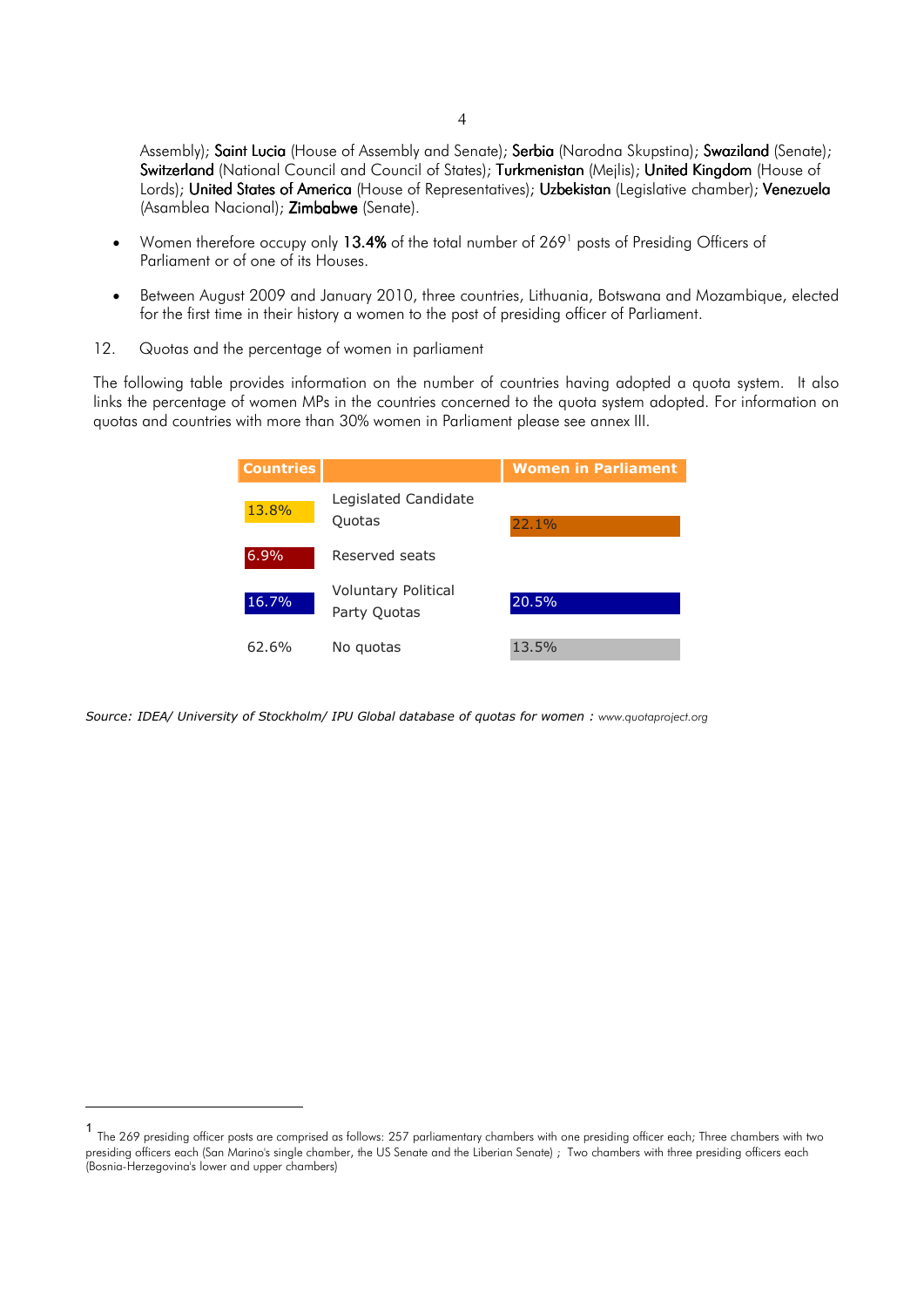4

Assembly); Saint Lucia (House of Assembly and Senate); Serbia (Narodna Skupstina); Swaziland (Senate); Switzerland (National Council and Council of States); Turkmenistan (Mejlis); United Kingdom (House of Lords); United States of America (House of Representatives); Uzbekistan (Legislative chamber); Venezuela (Asamblea Nacional); Zimbabwe (Senate).

- Women therefore occupy only 13.4% of the total number of 269<sup>1</sup> posts of Presiding Officers of Parliament or of one of its Houses.
- Between August 2009 and January 2010, three countries, Lithuania, Botswana and Mozambique, elected for the first time in their history a women to the post of presiding officer of Parliament.
- 12. Quotas and the percentage of women in parliament

The following table provides information on the number of countries having adopted a quota system. It also links the percentage of women MPs in the countries concerned to the quota system adopted. For information on quotas and countries with more than 30% women in Parliament please see annex III.

| <b>Countries</b> |                                     | <b>Women in Parliament</b> |
|------------------|-------------------------------------|----------------------------|
| 13.8%            | Legislated Candidate<br>Quotas      | 22.1%                      |
| 6.9%             | Reserved seats                      |                            |
| 16.7%            | Voluntary Political<br>Party Quotas | 20.5%                      |
| 62.6%            | No quotas                           | 13.5%                      |

**Source: IDEA/ University of Stockholm/ IPU Global database of quotas for women : www.quotaproject.org** 

<sup>1</sup> The 269 presiding officer posts are comprised as follows: 257 parliamentary chambers with one presiding officer each; Three chambers with two presiding officers each (San Marino's single chamber, the US Senate and the Liberian Senate) ; Two chambers with three presiding officers each (Bosnia-Herzegovina's lower and upper chambers)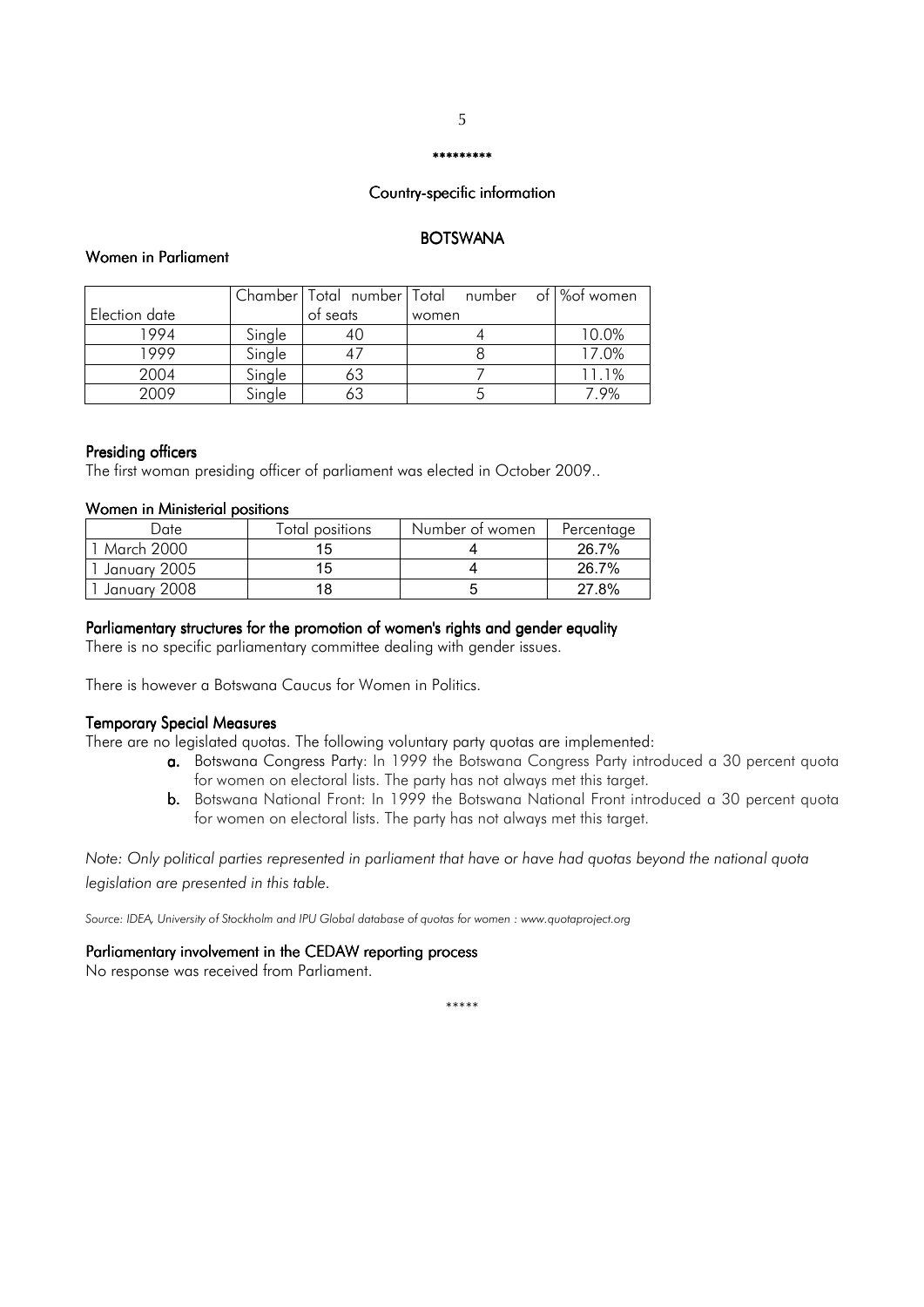# 5

## \*\*\*\*\*\*\*\*\*

## Country-specific information

## **BOTSWANA**

## Women in Parliament

|               |        |          | Chamber   Total number   Total number of   % of women |       |
|---------------|--------|----------|-------------------------------------------------------|-------|
| Election date |        | of seats | women                                                 |       |
| 1994          | Single | 40       |                                                       | 10.0% |
| 1999          | Single |          |                                                       | 17.0% |
| 2004          | Single | 63       |                                                       | 11.1% |
| 2009          | Single | 63       |                                                       | 7.9%  |

#### Presiding officers

The first woman presiding officer of parliament was elected in October 2009..

#### Women in Ministerial positions

| Date           | Total positions | Number of women | Percentage |
|----------------|-----------------|-----------------|------------|
| March 2000     |                 |                 | 26.7%      |
| ' January 2005 |                 |                 | 26.7%      |
| January 2008   |                 |                 | 27.8%      |

### Parliamentary structures for the promotion of women's rights and gender equality

There is no specific parliamentary committee dealing with gender issues.

There is however a Botswana Caucus for Women in Politics.

### **Temporary Special Measures**

There are no legislated quotas. The following voluntary party quotas are implemented:

- a. Botswana Congress Party: In 1999 the Botswana Congress Party introduced a 30 percent quota for women on electoral lists. The party has not always met this target.
- b. Botswana National Front: In 1999 the Botswana National Front introduced a 30 percent quota for women on electoral lists. The party has not always met this target.

*Note: Only political parties represented in parliament that have or have had quotas beyond the national quota legislation are presented in this table.* 

*Source: IDEA, University of Stockholm and IPU Global database of quotas for women : www.quotaproject.org* 

## Parliamentary involvement in the CEDAW reporting process

No response was received from Parliament.

\*\*\*\*\*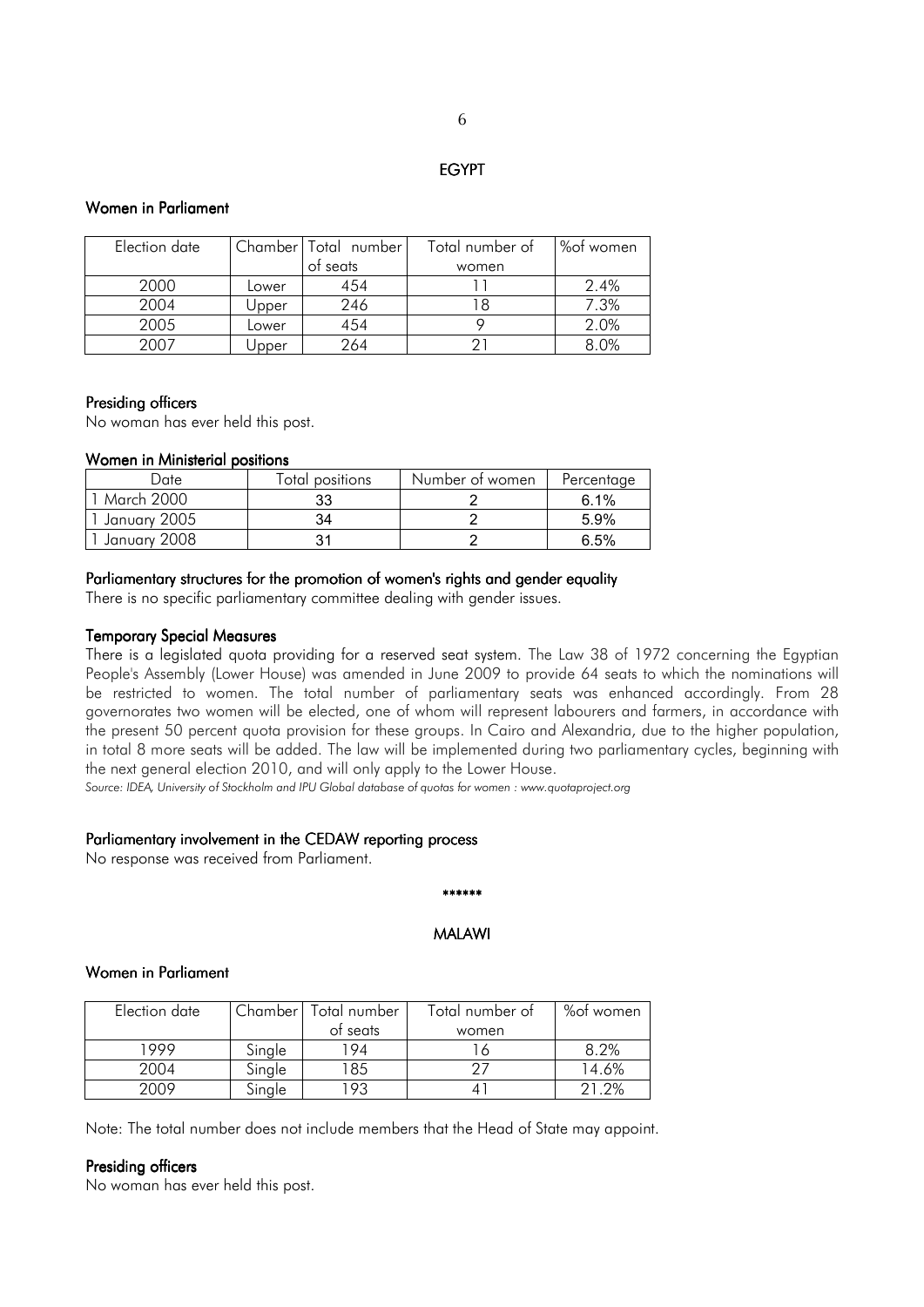### EGYPT

## Women in Parliament

| Election date |       | Chamber   Total number | Total number of | %of women |
|---------------|-------|------------------------|-----------------|-----------|
|               |       | of seats               | women           |           |
| 2000          | Lower | 454                    |                 | 2.4%      |
| 2004          | Jpper | 246                    |                 | 7.3%      |
| 2005          | Lower | 454                    |                 | 2.0%      |
| 2007          | Jpper | 264                    |                 | 8.0%      |

## Presiding officers

No woman has ever held this post.

## Women in Ministerial positions

| Date         | Total positions | Number of women | Percentage |
|--------------|-----------------|-----------------|------------|
| March 2000   |                 |                 | 6.1%       |
| January 2005 | 34              |                 | 5.9%       |
| January 2008 |                 |                 | 6.5%       |

## Parliamentary structures for the promotion of women's rights and gender equality

There is no specific parliamentary committee dealing with gender issues.

## **Temporary Special Measures**

There is a legislated quota providing for a reserved seat system. The Law 38 of 1972 concerning the Egyptian People's Assembly (Lower House) was amended in June 2009 to provide 64 seats to which the nominations will be restricted to women. The total number of parliamentary seats was enhanced accordingly. From 28 governorates two women will be elected, one of whom will represent labourers and farmers, in accordance with the present 50 percent quota provision for these groups. In Cairo and Alexandria, due to the higher population, in total 8 more seats will be added. The law will be implemented during two parliamentary cycles, beginning with the next general election 2010, and will only apply to the Lower House.

*Source: IDEA, University of Stockholm and IPU Global database of quotas for women : www.quotaproject.org* 

## Parliamentary involvement in the CEDAW reporting process

No response was received from Parliament.

# \*\*\*\*\*\*

## MALAWI

### Women in Parliament

| Election date | Chamber I | Total number | Total number of | %of women |
|---------------|-----------|--------------|-----------------|-----------|
|               |           | ot seats     | women           |           |
| 1999          | Single    | 194          |                 | 8.2%      |
| 2004          | Single    | ' 85         |                 | 14.6%     |
| 2009          | Single    | -93          |                 | .2%       |

Note: The total number does not include members that the Head of State may appoint.

## Presiding officers

No woman has ever held this post.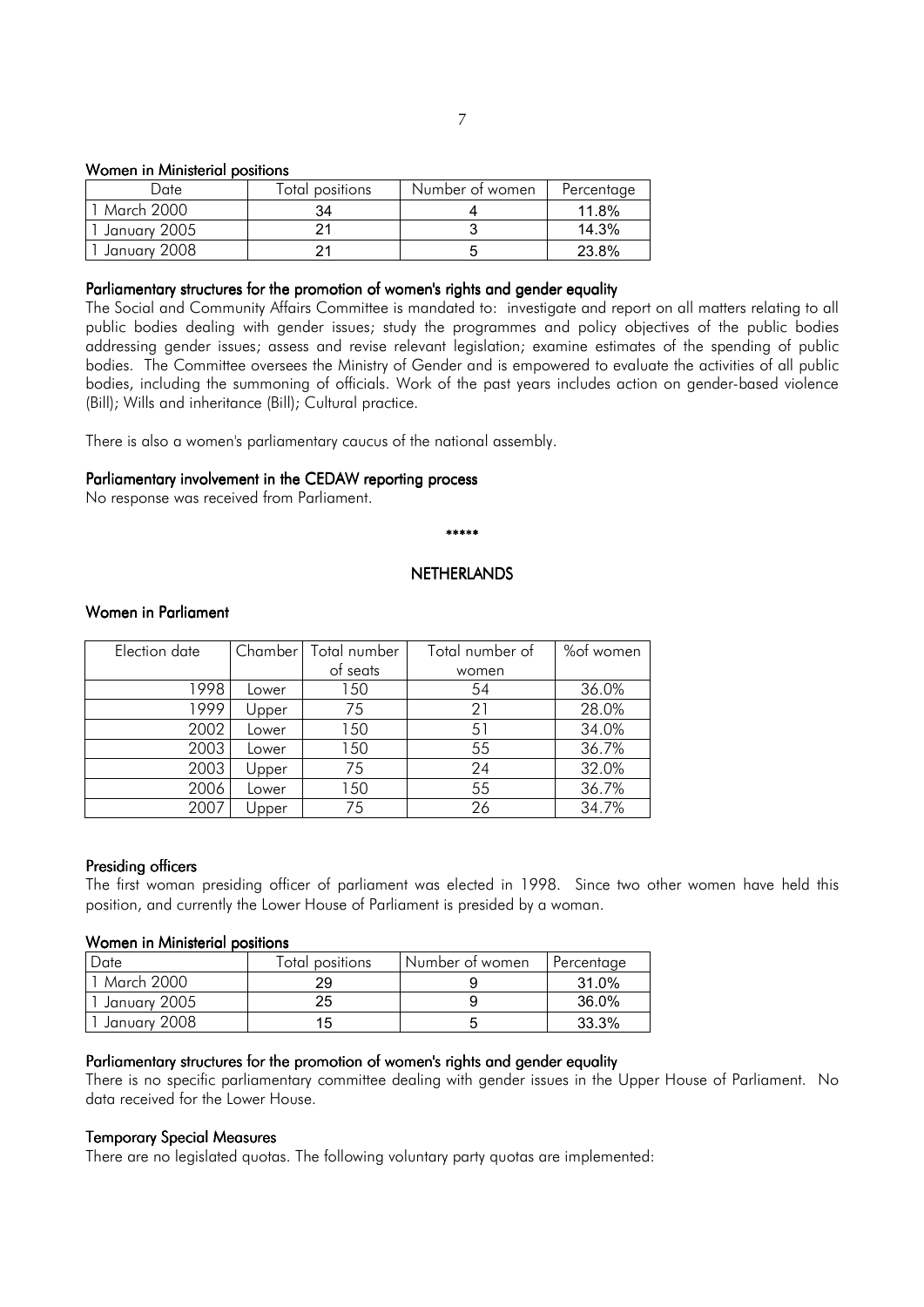#### Women in Ministerial positions

| Date         | Total positions | Number of women | Percentage |
|--------------|-----------------|-----------------|------------|
| l March 2000 |                 |                 | 11.8%      |
| January 2005 |                 |                 | 14.3%      |
| January 2008 |                 |                 | 23.8%      |

## Parliamentary structures for the promotion of women's rights and gender equality

The Social and Community Affairs Committee is mandated to: investigate and report on all matters relating to all public bodies dealing with gender issues; study the programmes and policy objectives of the public bodies addressing gender issues; assess and revise relevant legislation; examine estimates of the spending of public bodies. The Committee oversees the Ministry of Gender and is empowered to evaluate the activities of all public bodies, including the summoning of officials. Work of the past years includes action on gender-based violence (Bill); Wills and inheritance (Bill); Cultural practice.

There is also a women's parliamentary caucus of the national assembly.

### Parliamentary involvement in the CEDAW reporting process

No response was received from Parliament.

\*\*\*\*\*

## **NETHERLANDS**

## Women in Parliament

| Election date | Chamber | Total number | Total number of | %of women |
|---------------|---------|--------------|-----------------|-----------|
|               |         | of seats     | women           |           |
| 1998          | Lower   | 150          | 54              | 36.0%     |
| 1999          | Upper   | 75           | 21              | 28.0%     |
| 2002          | Lower   | 150          | 51              | 34.0%     |
| 2003          | Lower   | 150          | 55              | 36.7%     |
| 2003          | Upper   | 75           | 24              | 32.0%     |
| 2006          | Lower   | 150          | 55              | 36.7%     |
| 2007          | Jpper   | 75           | 26              | 34.7%     |

#### Presiding officers

The first woman presiding officer of parliament was elected in 1998. Since two other women have held this position, and currently the Lower House of Parliament is presided by a woman.

### Women in Ministerial positions

| Date         | Total positions | Number of women | Percentage |
|--------------|-----------------|-----------------|------------|
| 1 March 2000 |                 |                 | 31.0%      |
| January 2005 | 25              |                 | 36.0%      |
| January 2008 | 15              |                 | 33.3%      |

## Parliamentary structures for the promotion of women's rights and gender equality

There is no specific parliamentary committee dealing with gender issues in the Upper House of Parliament. No data received for the Lower House.

## **Temporary Special Measures**

There are no legislated quotas. The following voluntary party quotas are implemented: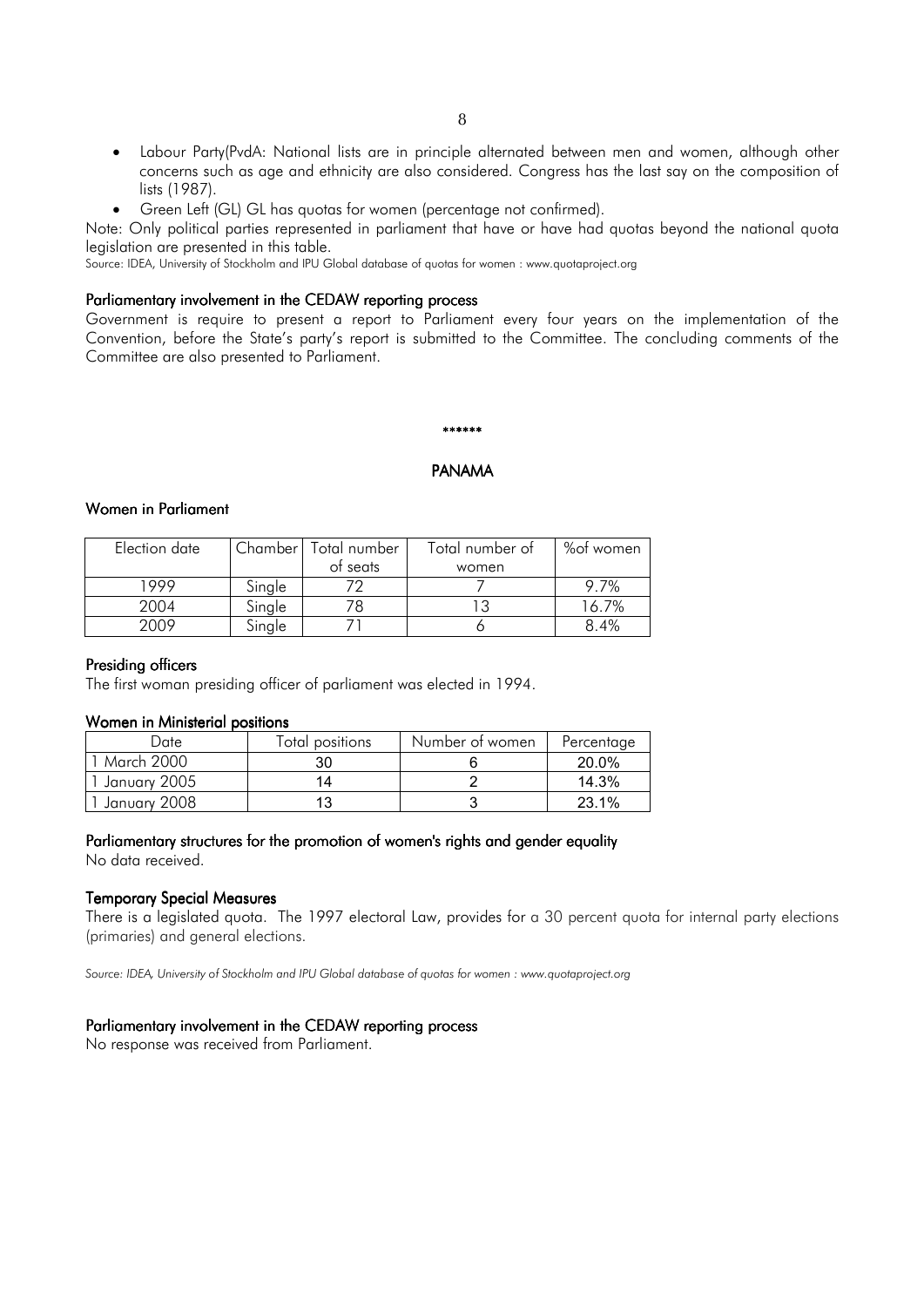- Labour Party(PvdA: National lists are in principle alternated between men and women, although other concerns such as age and ethnicity are also considered. Congress has the last say on the composition of lists (1987).
- Green Left (GL) GL has quotas for women (percentage not confirmed).

Note: Only political parties represented in parliament that have or have had quotas beyond the national quota legislation are presented in this table.

Source: IDEA, University of Stockholm and IPU Global database of quotas for women : www.quotaproject.org

## Parliamentary involvement in the CEDAW reporting process

Government is require to present a report to Parliament every four years on the implementation of the Convention, before the State's party's report is submitted to the Committee. The concluding comments of the Committee are also presented to Parliament.

#### \*\*\*\*\*

## PANAMA

## Women in Parliament

| Election date |               | Chamber   Total number | Total number of | %of women |
|---------------|---------------|------------------------|-----------------|-----------|
|               |               | ot seats               | women           |           |
| 1999          | Single        |                        |                 | 9.7%      |
| 2004          | Single        |                        |                 | 16.7%     |
| 2009          | <b>Single</b> |                        |                 | 8.4%      |

### Presiding officers

The first woman presiding officer of parliament was elected in 1994.

#### Women in Ministerial positions

| Date         | Total positions | Number of women | Percentage |
|--------------|-----------------|-----------------|------------|
| March 2000   |                 |                 | 20.0%      |
| January 2005 |                 |                 | 14.3%      |
| January 2008 |                 |                 | 23.1%      |

## Parliamentary structures for the promotion of women's rights and gender equality

No data received.

#### **Temporary Special Measures**

There is a legislated quota. The 1997 electoral Law, provides for a 30 percent quota for internal party elections (primaries) and general elections.

*Source: IDEA, University of Stockholm and IPU Global database of quotas for women : www.quotaproject.org* 

### Parliamentary involvement in the CEDAW reporting process

No response was received from Parliament.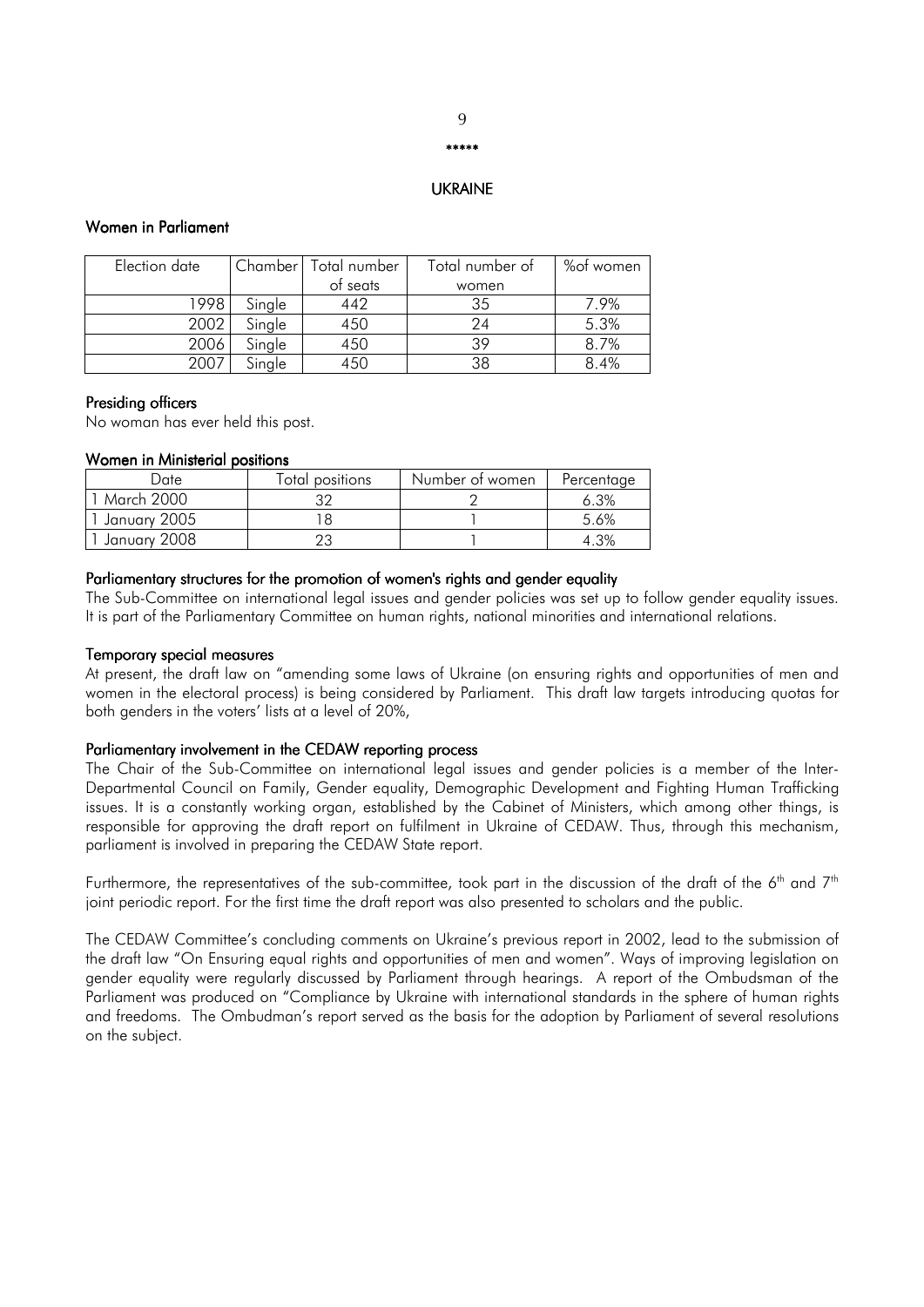## $\overline{q}$

## \*\*\*\*\*

## UKRAINE

## Women in Parliament

| Election date |        | Chamber   Total number | Total number of | %of women |
|---------------|--------|------------------------|-----------------|-----------|
|               |        | of seats               | women           |           |
| 1998          | Single | 442                    | 35              | 7.9%      |
| 2002          | Single | 450                    | 24              | 5.3%      |
| 2006          | Single | 450                    | 39              | 8.7%      |
| 2007          | Single | 450                    | 38              | 8.4%      |

## Presiding officers

No woman has ever held this post.

## Women in Ministerial positions

| Date          | Total positions | Number of women | Percentage |
|---------------|-----------------|-----------------|------------|
| March 2000    |                 |                 | 6.3%       |
| 'January 2005 |                 |                 | 5.6%       |
| January 2008  |                 |                 | 4 3%       |

## Parliamentary structures for the promotion of women's rights and gender equality

The Sub-Committee on international legal issues and gender policies was set up to follow gender equality issues. It is part of the Parliamentary Committee on human rights, national minorities and international relations.

## Temporary special measures

At present, the draft law on "amending some laws of Ukraine (on ensuring rights and opportunities of men and women in the electoral process) is being considered by Parliament. This draft law targets introducing quotas for both genders in the voters' lists at a level of 20%,

## Parliamentary involvement in the CEDAW reporting process

The Chair of the Sub-Committee on international legal issues and gender policies is a member of the Inter-Departmental Council on Family, Gender equality, Demographic Development and Fighting Human Trafficking issues. It is a constantly working organ, established by the Cabinet of Ministers, which among other things, is responsible for approving the draft report on fulfilment in Ukraine of CEDAW. Thus, through this mechanism, parliament is involved in preparing the CEDAW State report.

Furthermore, the representatives of the sub-committee, took part in the discussion of the draft of the 6<sup>th</sup> and 7<sup>th</sup> joint periodic report. For the first time the draft report was also presented to scholars and the public.

The CEDAW Committee's concluding comments on Ukraine's previous report in 2002, lead to the submission of the draft law "On Ensuring equal rights and opportunities of men and women". Ways of improving legislation on gender equality were regularly discussed by Parliament through hearings. A report of the Ombudsman of the Parliament was produced on "Compliance by Ukraine with international standards in the sphere of human rights and freedoms. The Ombudman's report served as the basis for the adoption by Parliament of several resolutions on the subject.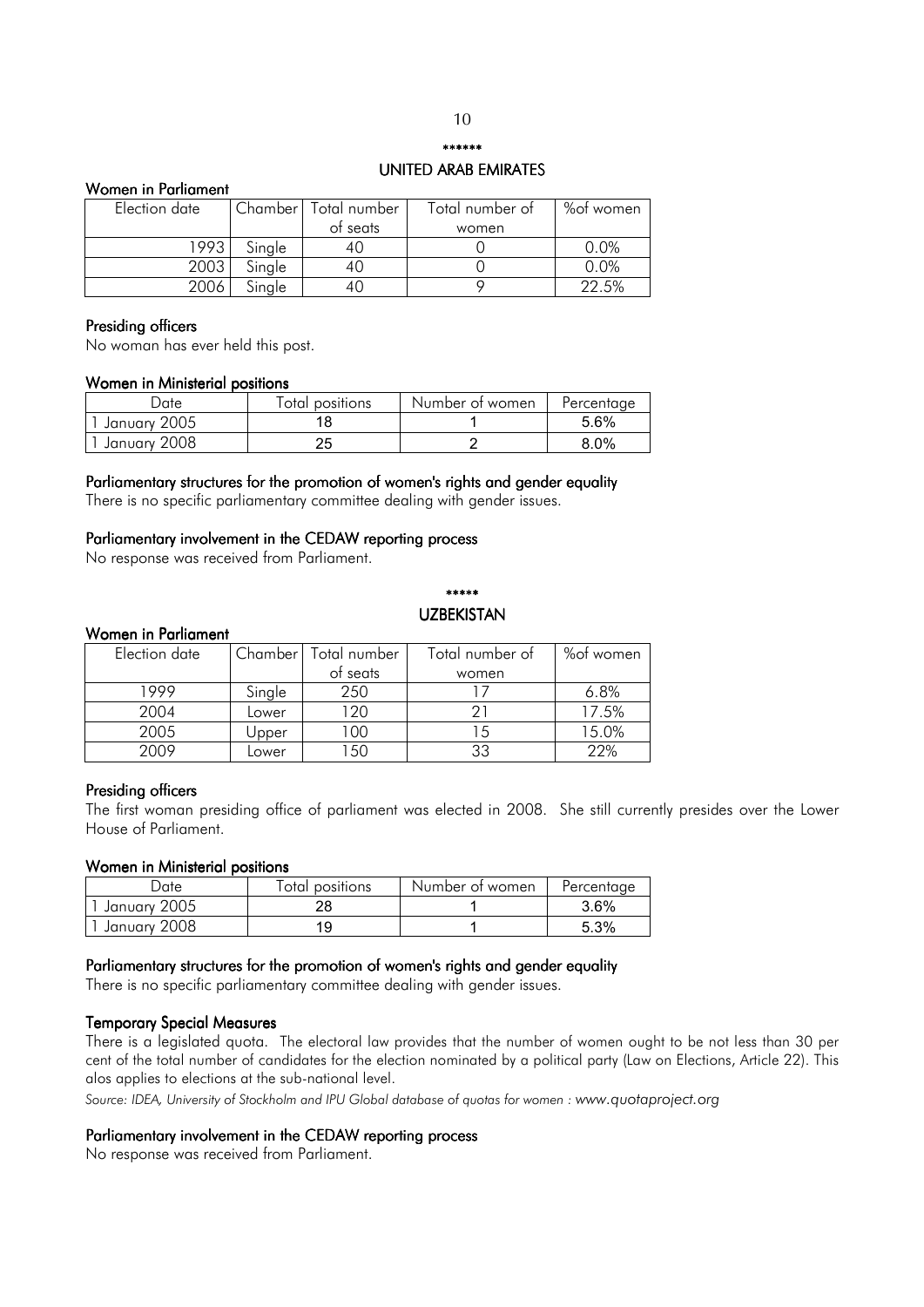## \*\*\*\*\*\* **UNITED ARAB EMIRATES**

### Women in Parliament

| Election date |        | Chamber   Total number | Total number of | %of women |
|---------------|--------|------------------------|-----------------|-----------|
|               |        | ot seats               | women           |           |
| 1993.         | Single |                        |                 | $0.0\%$   |
| 2003          | Single |                        |                 | 0.0%      |
| 2006          | Single |                        |                 | 22.5%     |

## Presiding officers

No woman has ever held this post.

#### Women in Ministerial positions

| Date         | Total positions | Number of women | Percentage |
|--------------|-----------------|-----------------|------------|
| Januarv 2005 |                 |                 | 5.6%       |
| Januarv 2008 | 25              |                 | $8.0\%$    |

#### Parliamentary structures for the promotion of women's rights and gender equality

There is no specific parliamentary committee dealing with gender issues.

## Parliamentary involvement in the CEDAW reporting process

No response was received from Parliament.

#### \*\*\*\*\* UZBEKISTAN

## Women in Parliament

| Election date | Chamber | Total number | Total number of | %of women |
|---------------|---------|--------------|-----------------|-----------|
|               |         | of seats     | women           |           |
| 1999          | Single  | 250          |                 | 6.8%      |
| 2004          | Lower   | 120          |                 | 17.5%     |
| 2005          | Jpper   | 00           | 15              | 15.0%     |
| 2009          | Lower   | 50           | 33              | 22%       |

### Presiding officers

The first woman presiding office of parliament was elected in 2008. She still currently presides over the Lower House of Parliament.

#### Women in Ministerial positions

| Jate         | Total positions | Number of women | Percentage |
|--------------|-----------------|-----------------|------------|
| January 2005 |                 |                 | 3.6%       |
| January 2008 |                 |                 | 5.3%       |

#### Parliamentary structures for the promotion of women's rights and gender equality

There is no specific parliamentary committee dealing with gender issues.

## **Temporary Special Measures**

There is a legislated quota. The electoral law provides that the number of women ought to be not less than 30 per cent of the total number of candidates for the election nominated by a political party (Law on Elections, Article 22). This alos applies to elections at the sub-national level.

Source: IDEA, University of Stockholm and IPU Global database of quotas for women : www.quotaproject.org

### Parliamentary involvement in the CEDAW reporting process

No response was received from Parliament.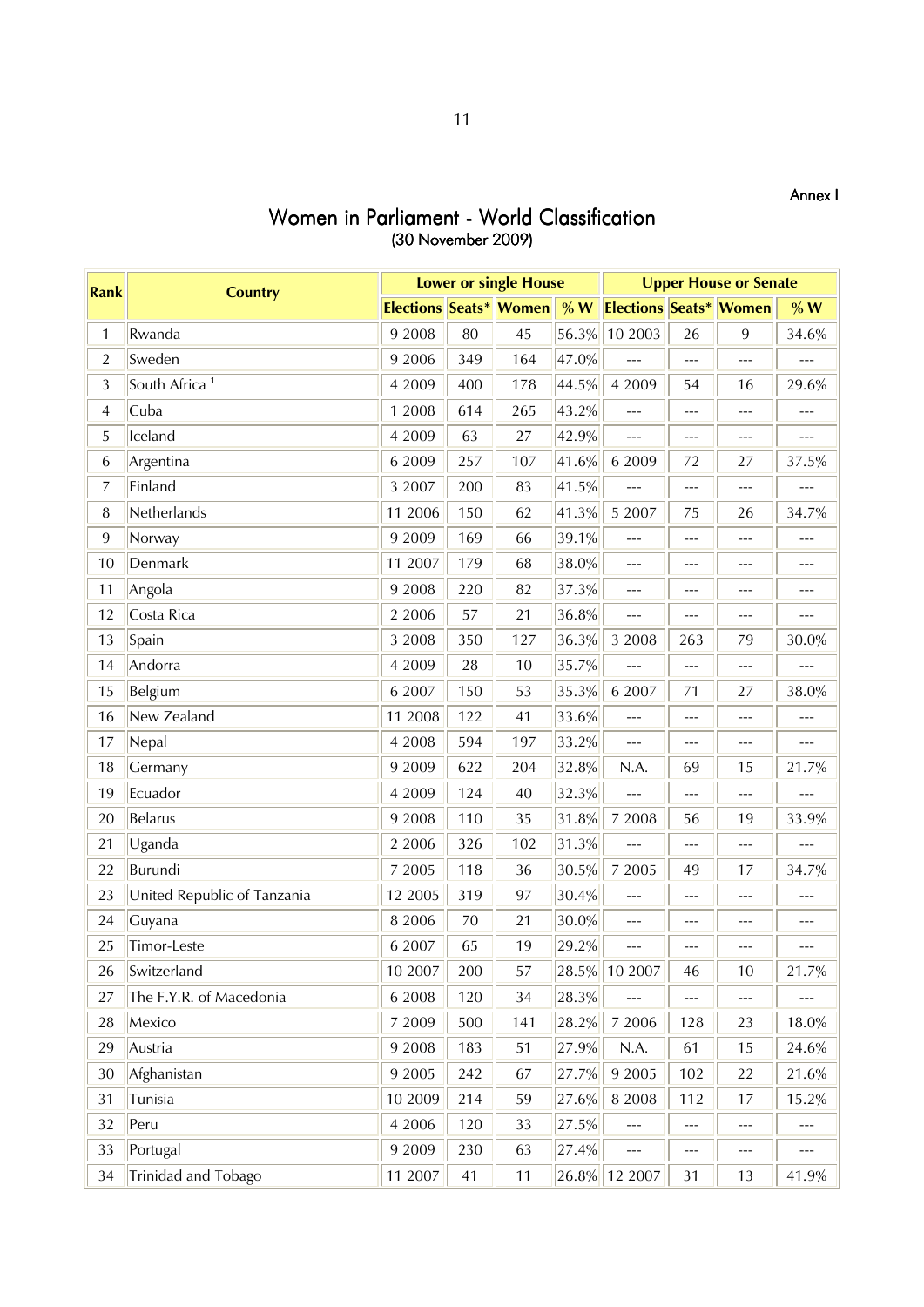## Women in Parliament - World Classification (30 November 2009)

Annex I

| Rank           | <b>Country</b>              | <b>Lower or single House</b>  |      |      |       | <b>Upper House or Senate</b>  |                |                |                |
|----------------|-----------------------------|-------------------------------|------|------|-------|-------------------------------|----------------|----------------|----------------|
|                |                             | <b>Elections Seats* Women</b> |      |      | % W   | <b>Elections Seats* Women</b> |                |                | % $W$          |
| 1              | Rwanda                      | 9 2008                        | 80   | 45   | 56.3% | 10 2003                       | 26             | 9              | 34.6%          |
| $\overline{2}$ | Sweden                      | 9 2006                        | 349  | 164  | 47.0% | $ -$                          | $ -$           | $---$          | ---            |
| 3              | South Africa <sup>1</sup>   | 4 2009                        | 400  | 178  | 44.5% | 4 2009                        | 54             | 16             | 29.6%          |
| $\overline{4}$ | Cuba                        | 1 2008                        | 614  | 265  | 43.2% | $---$                         | ---            | $---$          | $---$          |
| 5              | Iceland                     | 4 2009                        | 63   | 27   | 42.9% | $---$                         | $ -$           | $---$          | ---            |
| 6              | Argentina                   | 6 2009                        | 257  | 107  | 41.6% | 6 2009                        | 72             | 27             | 37.5%          |
| 7              | Finland                     | 3 2007                        | 200  | 83   | 41.5% | $ -$                          | ---            | ---            |                |
| 8              | Netherlands                 | 11 2006                       | 150  | 62   | 41.3% | 5 2007                        | 75             | 26             | 34.7%          |
| 9              | Norway                      | 9 2009                        | 169  | 66   | 39.1% | $---$                         | ---            | $ -$           | $---$          |
| 10             | Denmark                     | 11 2007                       | 179  | 68   | 38.0% | ---                           | ---            | $\overline{a}$ | ---            |
| 11             | Angola                      | 9 2008                        | 220  | 82   | 37.3% | $---$                         | $---$          | ---            | ---            |
| 12             | Costa Rica                  | 2 2 0 0 6                     | 57   | 21   | 36.8% | $ -$                          | $---$          | ---            | ---            |
| 13             | Spain                       | 3 2008                        | 350  | 127  | 36.3% | 3 2008                        | 263            | 79             | 30.0%          |
| 14             | Andorra                     | 4 2009                        | 28   | 10   | 35.7% | $ -$                          | ---            | $\overline{a}$ | ---            |
| 15             | Belgium                     | 6 2007                        | 150  | 53   | 35.3% | 6 2007                        | 71             | 27             | 38.0%          |
| 16             | New Zealand                 | 11 2008                       | 122  | 41   | 33.6% | $ -$                          | ---            | ---            | ---            |
| 17             | Nepal                       | 4 2008                        | 594  | 197  | 33.2% | $ -$                          | ---            | $\overline{a}$ | $- - -$        |
| 18             | Germany                     | 9 2009                        | 622  | 204  | 32.8% | N.A.                          | 69             | 15             | 21.7%          |
| 19             | Ecuador                     | 4 2009                        | 124  | 40   | 32.3% | $\overline{a}$                | ---            | $\overline{a}$ | ---            |
| 20             | Belarus                     | 9 2008                        | 110  | 35   | 31.8% | 7 2008                        | 56             | 19             | 33.9%          |
| 21             | Uganda                      | 2 2 0 0 6                     | 326  | 102  | 31.3% | ---                           | $---$          | $---$          | $---$          |
| 22             | Burundi                     | 7 2005                        | 118  | 36   | 30.5% | 7 2005                        | 49             | 17             | 34.7%          |
| 23             | United Republic of Tanzania | 12 2005                       | 319  | 97   | 30.4% | ---                           | ---            | $ -$           | ---            |
| 24             | Guyana                      | 8 2006                        | 70   | 21   | 30.0% | $---$                         | ---            | $ -$           | ---            |
| 25             | Timor-Leste                 | 6 2007                        | 65   | 19   | 29.2% | $ -$                          | ---            | $ -$           | ---            |
| 26             | Switzerland                 | $10\ 2007$ 200                |      | 57   |       | 28.5% 10 2007                 | 46             | $10\,$         | 21.7%          |
| 27             | The F.Y.R. of Macedonia     | 6 2008                        | 120  | 34   | 28.3% | ---                           | $\overline{a}$ | ---            | $\overline{a}$ |
| 28             | Mexico                      | 7 2009                        | 500  | 141  | 28.2% | 7 2006                        | 128            | 23             | 18.0%          |
| 29             | Austria                     | 9 2008                        | 183  | 51   | 27.9% | N.A.                          | 61             | 15             | 24.6%          |
| 30             | Afghanistan                 | 9 2005                        | 242  | 67   | 27.7% | 9 2005                        | 102            | 22             | 21.6%          |
| 31             | Tunisia                     | 10 2009                       | 214  | 59   | 27.6% | 8 2008                        | 112            | 17             | 15.2%          |
| 32             | Peru                        | 4 2006                        | 120  | 33   | 27.5% | $\overline{a}$                | $---$          | $\cdots$       | ---            |
| 33             | Portugal                    | 9 2009                        | 230  | 63   | 27.4% | $\qquad \qquad - -$           | $---$          | $-\, -\, -$    | ---            |
| 34             | Trinidad and Tobago         | 11 2007                       | $41$ | $11$ |       | 26.8% 12 2007                 | 31             | 13             | 41.9%          |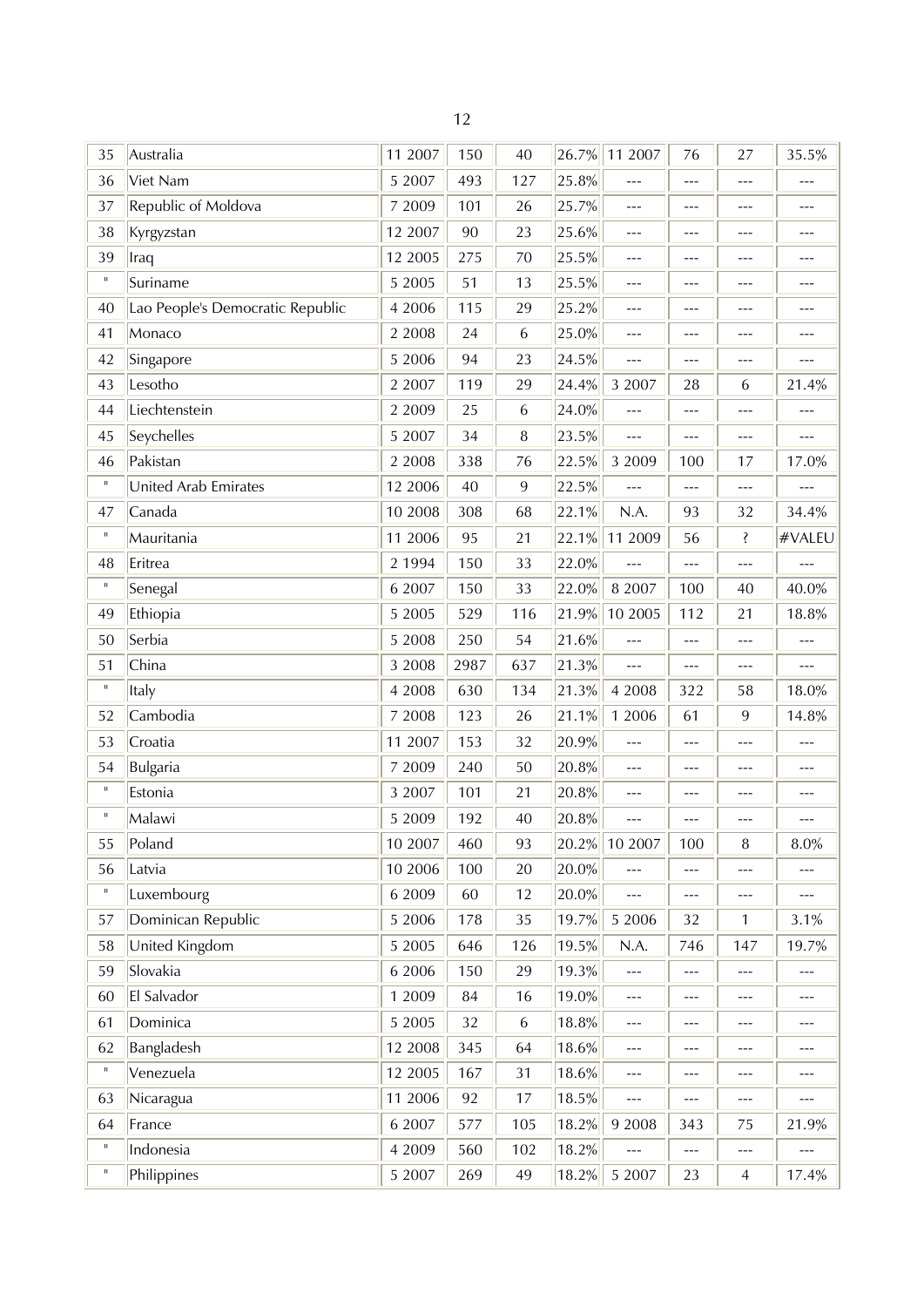| 35          | Australia                        | 11 2007   | 150  | 40  | 26.7% | 11 2007                  | 76       | 27                       | 35.5%                                       |
|-------------|----------------------------------|-----------|------|-----|-------|--------------------------|----------|--------------------------|---------------------------------------------|
| 36          | Viet Nam                         | 5 2007    | 493  | 127 | 25.8% | ---                      | ---      | ---                      | $---$                                       |
| 37          | Republic of Moldova              | 7 2009    | 101  | 26  | 25.7% | $---$                    | ---      | $---$                    | ---                                         |
| 38          | Kyrgyzstan                       | 12 2007   | 90   | 23  | 25.6% | ---                      | ---      | ---                      | ---                                         |
| 39          | Iraq                             | 12 2005   | 275  | 70  | 25.5% | $---$                    | ---      | $---$                    | ---                                         |
| $\mathbf H$ | Suriname                         | 5 2005    | 51   | 13  | 25.5% | $- - -$                  | ---      | $---$                    | ---                                         |
| 40          | Lao People's Democratic Republic | 4 2006    | 115  | 29  | 25.2% | $\cdots$                 | ---      | $---$                    | ---                                         |
| 41          | Monaco                           | 2 2 0 0 8 | 24   | 6   | 25.0% | ---                      | ---      | ---                      | $---$                                       |
| 42          | Singapore                        | 5 2006    | 94   | 23  | 24.5% | $ -$                     | ---      | $---$                    | $---$                                       |
| 43          | Lesotho                          | 2 2007    | 119  | 29  | 24.4% | 3 2007                   | 28       | 6                        | 21.4%                                       |
| 44          | Liechtenstein                    | 2 2 0 0 9 | 25   | 6   | 24.0% | ---                      | ---      | ---                      |                                             |
| 45          | Seychelles                       | 5 2007    | 34   | 8   | 23.5% | $ -$                     | ---      | ---                      | $ -$                                        |
| 46          | Pakistan                         | 2 2008    | 338  | 76  | 22.5% | 3 2009                   | 100      | 17                       | 17.0%                                       |
| $\mathbf H$ | United Arab Emirates             | 12 2006   | 40   | 9   | 22.5% | $ -$                     | ---      | $---$                    |                                             |
| 47          | Canada                           | 10 2008   | 308  | 68  | 22.1% | N.A.                     | 93       | 32                       | 34.4%                                       |
| $\mathbf H$ | Mauritania                       | 11 2006   | 95   | 21  | 22.1% | 11 2009                  | 56       | Ş                        | #VALEU                                      |
| 48          | Eritrea                          | 2 1994    | 150  | 33  | 22.0% | $ -$                     | ---      | $---$                    | ---                                         |
| $\mathbf H$ | Senegal                          | 6 2007    | 150  | 33  | 22.0% | 8 2007                   | 100      | 40                       | 40.0%                                       |
| 49          | Ethiopia                         | 5 2005    | 529  | 116 | 21.9% | 10 2005                  | 112      | 21                       | 18.8%                                       |
| 50          | Serbia                           | 5 2008    | 250  | 54  | 21.6% | $---$                    | ---      | ---                      |                                             |
| 51          | China                            | 3 2008    | 2987 | 637 | 21.3% | ---                      | ---      | ---                      | $ -$                                        |
| $\mathbf H$ | Italy                            | 4 2008    | 630  | 134 | 21.3% | 4 2008                   | 322      | 58                       | 18.0%                                       |
| 52          | Cambodia                         | 7 2008    | 123  | 26  | 21.1% | 1 2006                   | 61       | 9                        | 14.8%                                       |
| 53          | Croatia                          | 11 2007   | 153  | 32  | 20.9% | $ -$                     | ---      | ---                      | ---                                         |
| 54          | Bulgaria                         | 7 2009    | 240  | 50  | 20.8% | $- - -$                  | ---      | $---$                    | ---                                         |
| $\rm H$     | Estonia                          | 3 2007    | 101  | 21  | 20.8% | ---                      | ---      | $---$                    | ---                                         |
| $\rm H$     | Malawi                           | 5 2009    | 192  | 40  | 20.8% | ---                      |          |                          |                                             |
| 55          | Poland                           | 10 2007   | 460  | 93  | 20.2% | 10 2007                  | 100      | $\, 8$                   | $8.0\%$                                     |
| 56          | Latvia                           | 10 2006   | 100  | 20  | 20.0% | $---$                    | ---      | $\cdots$                 | $---$                                       |
| $\rm H$     | Luxembourg                       | 6 2009    | 60   | 12  | 20.0% | $---$                    | ---      | ---                      | ---                                         |
| 57          | Dominican Republic               | 5 2006    | 178  | 35  | 19.7% | 5 2006                   | 32       | $\mathbf{1}$             | 3.1%                                        |
| 58          | United Kingdom                   | 5 2005    | 646  | 126 | 19.5% | N.A.                     | 746      | 147                      | 19.7%                                       |
| 59          | Slovakia                         | 6 2006    | 150  | 29  | 19.3% | $\cdots$                 | $\cdots$ | $\cdots$                 | $\qquad \qquad - -$                         |
| 60          | El Salvador                      | 1 2009    | 84   | 16  | 19.0% | $---$                    | ---      | ---                      | ---                                         |
| 61          | Dominica                         | 5 2005    | 32   | 6   | 18.8% | $\overline{\phantom{a}}$ | ---      | $---$                    | $---$                                       |
| 62          | Bangladesh                       | 12 2008   | 345  | 64  | 18.6% | $---$                    | ---      | $\cdots$                 | $---$                                       |
| $\rm H$     | Venezuela                        | 12 2005   | 167  | 31  | 18.6% | $---$                    | ---      | $---$                    | $---$                                       |
| 63          | Nicaragua                        | 11 2006   | 92   | 17  | 18.5% | $---$                    | ---      | $\cdots$                 | ---                                         |
| 64          | France                           | 6 2007    | 577  | 105 | 18.2% | 9 2008                   | 343      | 75                       | 21.9%                                       |
| $\mathbf H$ | Indonesia                        | 4 2009    | 560  | 102 | 18.2% | $\overline{a}$           | $---$    | $\overline{\phantom{a}}$ | $\scriptstyle \cdots$ $\scriptstyle \cdots$ |

" Philippines 5 2007 269 49 18.2% 5 2007 23 4 17.4%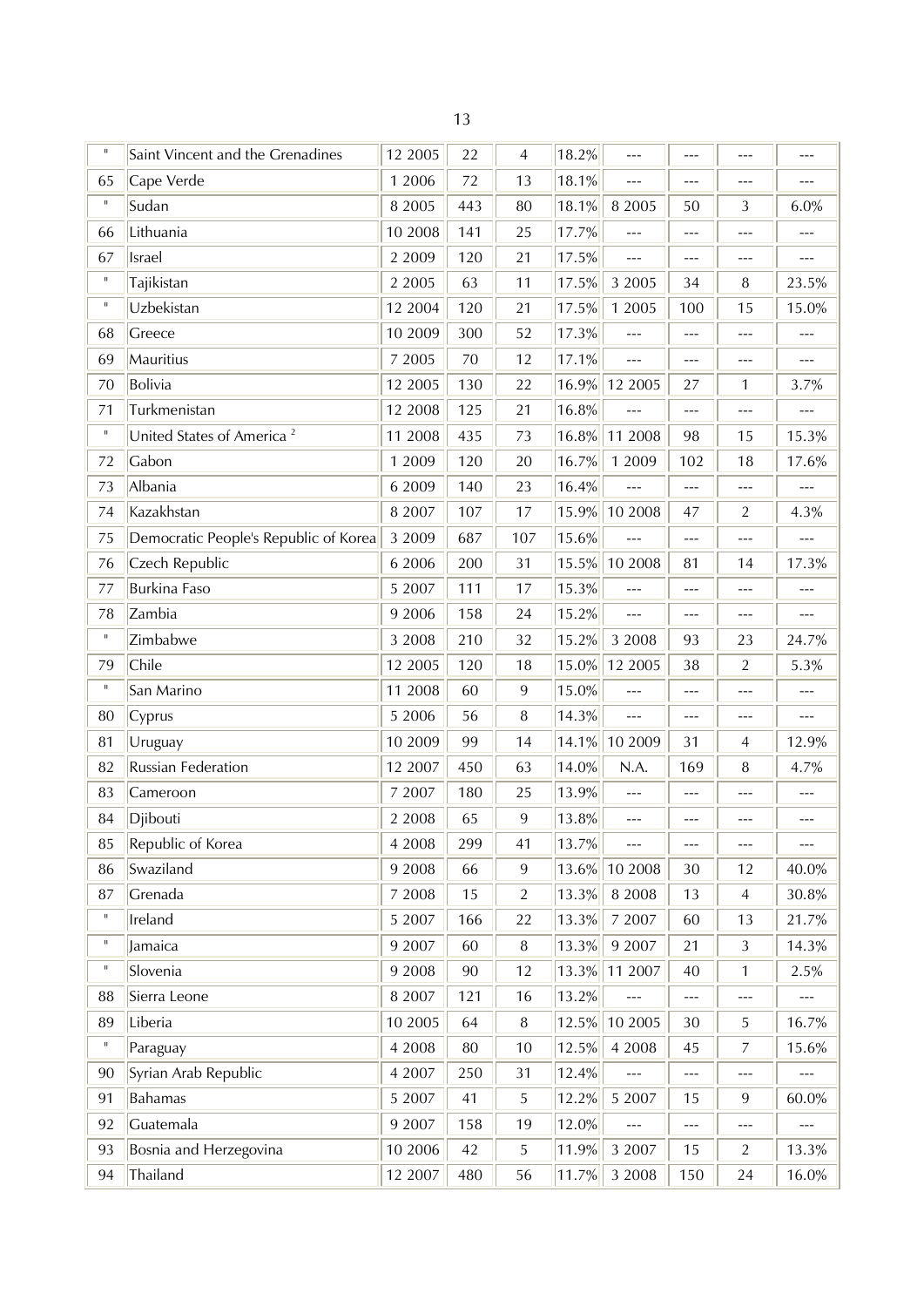| $\rm H$       | Saint Vincent and the Grenadines      | 12 2005   | 22  | $\overline{4}$ | 18.2%      |                | ---            |                          | ---                      |
|---------------|---------------------------------------|-----------|-----|----------------|------------|----------------|----------------|--------------------------|--------------------------|
| 65            | Cape Verde                            | 1 2006    | 72  | 13             | 18.1%      | $---$          | $ -$           | $- - -$                  | ---                      |
| $\mathbf H$   | Sudan                                 | 8 2 0 0 5 | 443 | 80             | 18.1%      | 8 2 0 0 5      | 50             | 3                        | 6.0%                     |
| 66            | Lithuania                             | 10 2008   | 141 | 25             | 17.7%      | $---$          | $ -$           | $---$                    | $---$                    |
| 67            | Israel                                | 2 2009    | 120 | 21             | 17.5%      | $---$          | ---            | ---                      | ---                      |
| $\sf H$       | Tajikistan                            | 2 2 0 0 5 | 63  | 11             | 17.5%      | 3 2005         | 34             | $\, 8$                   | 23.5%                    |
| $\rm H$       | Uzbekistan                            | 12 2004   | 120 | 21             | 17.5%      | 1 2005         | 100            | 15                       | 15.0%                    |
| 68            | Greece                                | 10 2009   | 300 | 52             | 17.3%      | ---            | ---            | ---                      |                          |
| 69            | Mauritius                             | 7 2005    | 70  | 12             | 17.1%      | $\overline{a}$ | ---            | ---                      |                          |
| 70            | Bolivia                               | 12 2005   | 130 | 22             | 16.9%      | 12 2005        | 27             | 1                        | 3.7%                     |
| 71            | Turkmenistan                          | 12 2008   | 125 | 21             | 16.8%      | $- - -$        | ---            | ---                      | $-$                      |
| $\rm H$       | United States of America <sup>2</sup> | 11 2008   | 435 | 73             | 16.8%      | 11 2008        | 98             | 15                       | 15.3%                    |
| 72            | Gabon                                 | 1 2009    | 120 | 20             | 16.7%      | 1 2009         | 102            | 18                       | 17.6%                    |
| 73            | Albania                               | 6 2009    | 140 | 23             | 16.4%      | $- - -$        | $---$          | $---$                    | ---                      |
| 74            | Kazakhstan                            | 8 2007    | 107 | 17             | 15.9%      | 10 2008        | 47             | $\overline{2}$           | 4.3%                     |
| 75            | Democratic People's Republic of Korea | 3 2009    | 687 | 107            | 15.6%      | $ -$           | ---            | ---                      | ---                      |
| 76            | Czech Republic                        | 6 2006    | 200 | 31             | 15.5%      | 10 2008        | 81             | 14                       | 17.3%                    |
| 77            | <b>Burkina Faso</b>                   | 5 2007    | 111 | 17             | 15.3%      | $---$          | ---            | $---$                    | $---$                    |
| 78            | Zambia                                | 9 2006    | 158 | 24             | 15.2%      | $ -$           | ---            | $\sim$ $\sim$ $\sim$     | $---$                    |
| $\mathbf H$   | Zimbabwe                              | 3 2008    | 210 | 32             | 15.2%      | 3 2008         | 93             | 23                       | 24.7%                    |
| 79            | Chile                                 | 12 2005   | 120 | 18             | 15.0%      | 12 2005        | 38             | $\overline{2}$           | 5.3%                     |
| $\mathbf H$   | San Marino                            | 11 2008   | 60  | 9              | 15.0%      | $\overline{a}$ | $ -$           | ---                      | ---                      |
| 80            | Cyprus                                | 5 2006    | 56  | $\, 8$         | 14.3%      | $\overline{a}$ | ---            | ---                      | ---                      |
| 81            | Uruguay                               | 10 2009   | 99  | 14             | 14.1%      | 10 2009        | 31             | $\overline{4}$           | 12.9%                    |
| 82            | Russian Federation                    | 12 2007   | 450 | 63             | 14.0%      | N.A.           | 169            | $\, 8$                   | 4.7%                     |
| 83            | Cameroon                              | 7 2007    | 180 | 25             | 13.9%      | $\overline{a}$ | $ -$           | ---                      | ---                      |
| 84            | Djibouti                              | 2 2 0 0 8 | 65  | 9              | 13.8%      | $ -$           | ---            | ---                      | $---$                    |
| 85            | Republic of Korea                     | 4 2008    | 299 | 41             | 13.7%      | $---$          | $\cdots$       | $\cdots$                 | $\overline{a}$           |
| 86            | Swaziland                             | 9 2008    | 66  | 9              | $13.6\%$   | 10 2008        | 30             | 12                       | 40.0%                    |
| 87            | Grenada                               | 7 2008    | 15  | $\overline{2}$ | $ 13.3\% $ | 8 2008         | 13             | $\overline{4}$           | 30.8%                    |
| $\rm H$       | Ireland                               | 5 2007    | 166 | 22             | 13.3%      | 7 2007         | 60             | 13                       | 21.7%                    |
| $\mathsf{II}$ | Jamaica                               | 9 2007    | 60  | $\, 8$         | 13.3%      | 9 2007         | 21             | 3                        | 14.3%                    |
| $\sf H$       | Slovenia                              | 9 2008    | 90  | 12             |            | 13.3% 11 2007  | 40             | $\mathbf{1}$             | 2.5%                     |
| 88            | Sierra Leone                          | 8 2007    | 121 | 16             | 13.2%      | $---$          | $---$          | $---$                    | $\cdots$                 |
| 89            | Liberia                               | 10 2005   | 64  | $\, 8$         | $ 12.5\% $ | 10 2005        | 30             | 5                        | 16.7%                    |
| $\rm H$       | Paraguay                              | 4 2008    | 80  | $10\,$         | 12.5%      | 4 2008         | 45             | $\overline{7}$           | 15.6%                    |
| 90            | Syrian Arab Republic                  | 4 2007    | 250 | 31             | 12.4%      | $\overline{a}$ | $\overline{a}$ | $\overline{\phantom{a}}$ | $\overline{\phantom{a}}$ |
| 91            | Bahamas                               | 5 2007    | 41  | 5              | 12.2%      | 5 2007         | 15             | 9                        | 60.0%                    |
| 92            | Guatemala                             | 9 2007    | 158 | 19             | 12.0%      | $\cdots$       | $---$          | $---$                    | $\qquad \qquad - -$      |
| 93            | Bosnia and Herzegovina                | 10 2006   | 42  | $\mathsf S$    | 11.9%      | 3 2007         | 15             | $\overline{2}$           | 13.3%                    |
| 94            | Thailand                              | 12 2007   | 480 | 56             | 11.7%      | 3 2008         | 150            | 24                       | 16.0%                    |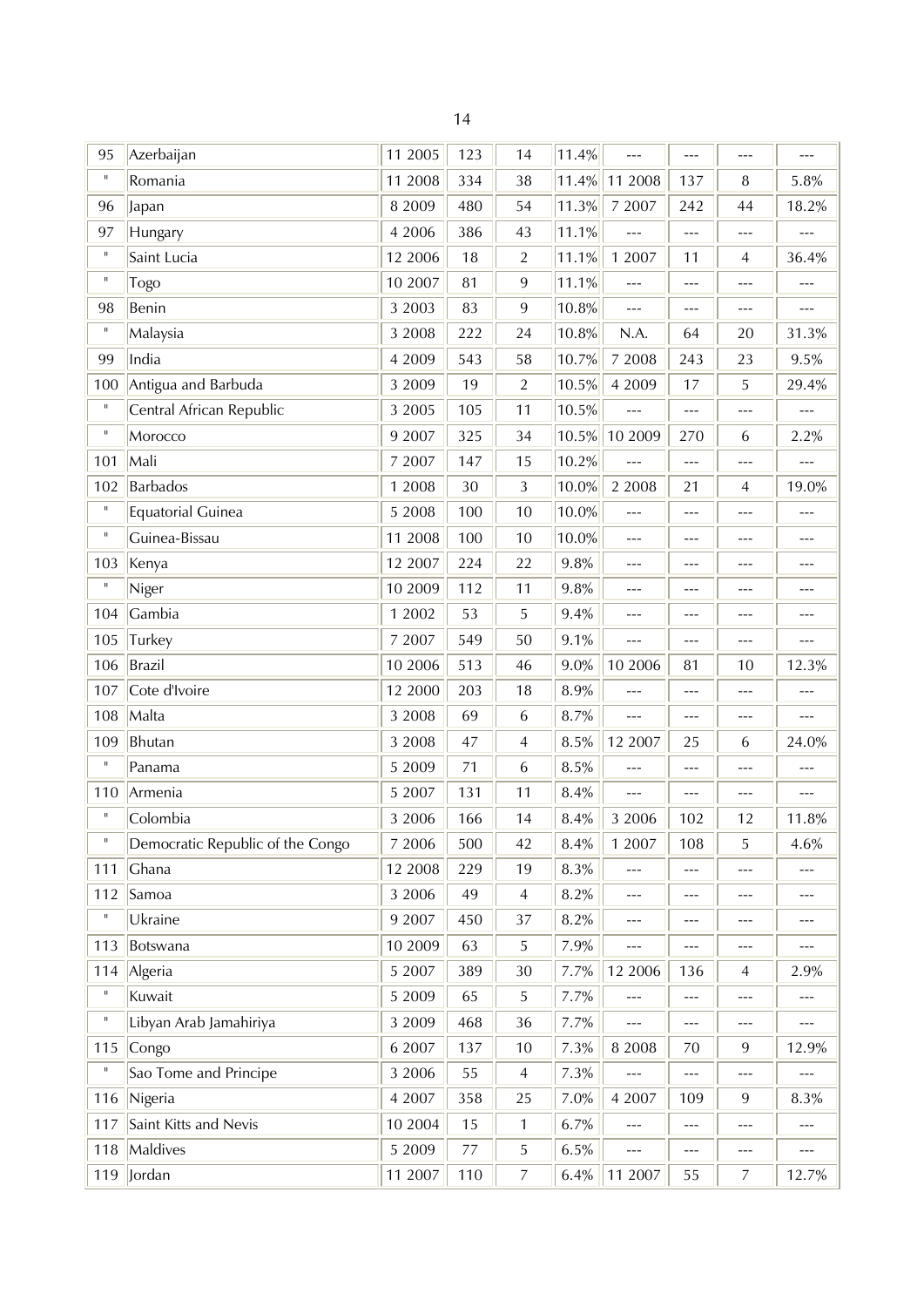| 95                                                                                                        | Azerbaijan                       | 11 2005 | 123 | 14             | 11.4% | $ -$              | ---                 | ---            | $ -$                                        |
|-----------------------------------------------------------------------------------------------------------|----------------------------------|---------|-----|----------------|-------|-------------------|---------------------|----------------|---------------------------------------------|
| $\sf H$                                                                                                   | Romania                          | 11 2008 | 334 | 38             | 11.4% | 11 2008           | 137                 | 8              | 5.8%                                        |
| 96                                                                                                        | Japan                            | 8 2009  | 480 | 54             | 11.3% | 7 2007            | 242                 | 44             | 18.2%                                       |
| 97                                                                                                        | Hungary                          | 4 2006  | 386 | 43             | 11.1% | $ -$              | $\sim$              | ---            | $ -$                                        |
| $\rm H$                                                                                                   | Saint Lucia                      | 12 2006 | 18  | $\overline{2}$ | 11.1% | 1 2007            | 11                  | $\overline{4}$ | 36.4%                                       |
| $\rm H$                                                                                                   | Togo                             | 10 2007 | 81  | 9              | 11.1% | $- - -$           | ---                 | $ -$           | ---                                         |
| 98                                                                                                        | Benin                            | 3 2003  | 83  | 9              | 10.8% | $ -$              | ---                 | $ -$           | $-$                                         |
| $\rm H$                                                                                                   | Malaysia                         | 3 2008  | 222 | 24             | 10.8% | N.A.              | 64                  | 20             | 31.3%                                       |
| 99                                                                                                        | India                            | 4 2009  | 543 | 58             | 10.7% | 7 2008            | 243                 | 23             | 9.5%                                        |
| 100                                                                                                       | Antigua and Barbuda              | 3 2009  | 19  | $\overline{2}$ | 10.5% | 4 2009            | 17                  | 5              | 29.4%                                       |
| $\rm H$                                                                                                   | Central African Republic         | 3 2005  | 105 | 11             | 10.5% | $---$             | $---$               | $ -$           | $ -$                                        |
| $\sf H$                                                                                                   | Morocco                          | 9 2007  | 325 | 34             | 10.5% | 10 2009           | 270                 | 6              | 2.2%                                        |
| 101                                                                                                       | Mali                             | 7 2007  | 147 | 15             | 10.2% | $- - -$           | ---                 | ---            |                                             |
| 102                                                                                                       | <b>Barbados</b>                  | 1 2008  | 30  | 3              | 10.0% | 2 2 0 0 8         | 21                  | $\overline{4}$ | 19.0%                                       |
| $\sf H$                                                                                                   | <b>Equatorial Guinea</b>         | 5 2008  | 100 | 10             | 10.0% | ---               | ---                 | ---            | ---                                         |
| $\sf H$                                                                                                   | Guinea-Bissau                    | 11 2008 | 100 | 10             | 10.0% | ---               | ---                 | $---$          |                                             |
| 103                                                                                                       | Kenya                            | 12 2007 | 224 | 22             | 9.8%  | ---               | ---                 | ---            | ---                                         |
| $\sf H$                                                                                                   | Niger                            | 10 2009 | 112 | 11             | 9.8%  | ---               | ---                 | ---            | $\qquad \qquad - -$                         |
| 104                                                                                                       | Gambia                           | 1 2002  | 53  | 5              | 9.4%  | ---               | ---                 | ---            | $---$                                       |
| 105                                                                                                       | Turkey                           | 7 2007  | 549 | 50             | 9.1%  | $---$             | $---$               | ---            | $ -$                                        |
| 106                                                                                                       | Brazil                           | 10 2006 | 513 | 46             | 9.0%  | 10 2006           | 81                  | 10             | 12.3%                                       |
| 107                                                                                                       | Cote d'Ivoire                    | 12 2000 | 203 | 18             | 8.9%  | $---$             | ---                 | $---$          | ---                                         |
| 108                                                                                                       | Malta                            | 3 2008  | 69  | 6              | 8.7%  | ---               | ---                 | $---$          | $-$                                         |
| 109                                                                                                       | Bhutan                           | 3 2008  | 47  | 4              | 8.5%  | 12 2007           | 25                  | 6              | 24.0%                                       |
| $\mathsf{H}% _{0}\left( t\right) \equiv\mathsf{H}_{0}\left( t\right) \equiv\mathsf{H}_{0}\left( t\right)$ | Panama                           | 5 2009  | 71  | 6              | 8.5%  | $ -$              | ---                 | $---$          | ---                                         |
| 110                                                                                                       | Armenia                          | 5 2007  | 131 | 11             | 8.4%  | ---               | $---$               | ---            | $ -$                                        |
| $\sf H$                                                                                                   | Colombia                         | 3 2006  | 166 | 14             | 8.4%  | 3 2006            | 102                 | 12             | 11.8%                                       |
| $\rm H$                                                                                                   | Democratic Republic of the Congo | 7 2006  | 500 | 42             | 8.4%  | 1 2007            | 108                 | 5              | 4.6%                                        |
| 111                                                                                                       | <b>Chana</b>                     | 12 2008 | 229 | 19             | 8.3%  | $---$             | ---                 | ---            | $---$                                       |
| 112                                                                                                       | Samoa                            | 3 2006  | 49  | $\overline{4}$ | 8.2%  | $\qquad \qquad -$ | $---$               | $---$          | $---$                                       |
| $\rm H$                                                                                                   | Ukraine                          | 9 2007  | 450 | 37             | 8.2%  | ---               | $---$               | ---            | $---$                                       |
| 113                                                                                                       | Botswana                         | 10 2009 | 63  | $\mathsf S$    | 7.9%  | $---$             | ---                 | $---$          | ---                                         |
| 114                                                                                                       | Algeria                          | 5 2007  | 389 | 30             | 7.7%  | 12 2006           | 136                 | $\overline{4}$ | 2.9%                                        |
| $\rm H$                                                                                                   | Kuwait                           | 5 2009  | 65  | 5              | 7.7%  | $ -$              | ---                 | ---            | $---$                                       |
| $\rm H$                                                                                                   | Libyan Arab Jamahiriya           | 3 2009  | 468 | 36             | 7.7%  | $ -$              | $---$               | ---            | ---                                         |
| 115                                                                                                       | Congo                            | 6 2007  | 137 | 10             | 7.3%  | 8 2008            | 70                  | 9              | 12.9%                                       |
| $\sf H$                                                                                                   | Sao Tome and Principe            | 3 2006  | 55  | $\overline{4}$ | 7.3%  | $\cdots$          | $\qquad \qquad - -$ | $ -$           | $\scriptstyle \cdots$ $\scriptstyle \cdots$ |
| 116                                                                                                       | Nigeria                          | 4 2007  | 358 | 25             | 7.0%  | 4 2007            | 109                 | 9              | 8.3%                                        |
| 117                                                                                                       | Saint Kitts and Nevis            | 10 2004 | 15  | $\mathbf{1}$   | 6.7%  | ---               | ---                 | ---            | $---$                                       |
| 118                                                                                                       | Maldives                         | 5 2009  | 77  | 5              | 6.5%  | $---$             | ---                 | $ -$           | $---$                                       |
| 119                                                                                                       | Jordan                           | 11 2007 | 110 | $\overline{7}$ | 6.4%  | 11 2007           | 55                  | $\overline{7}$ | 12.7%                                       |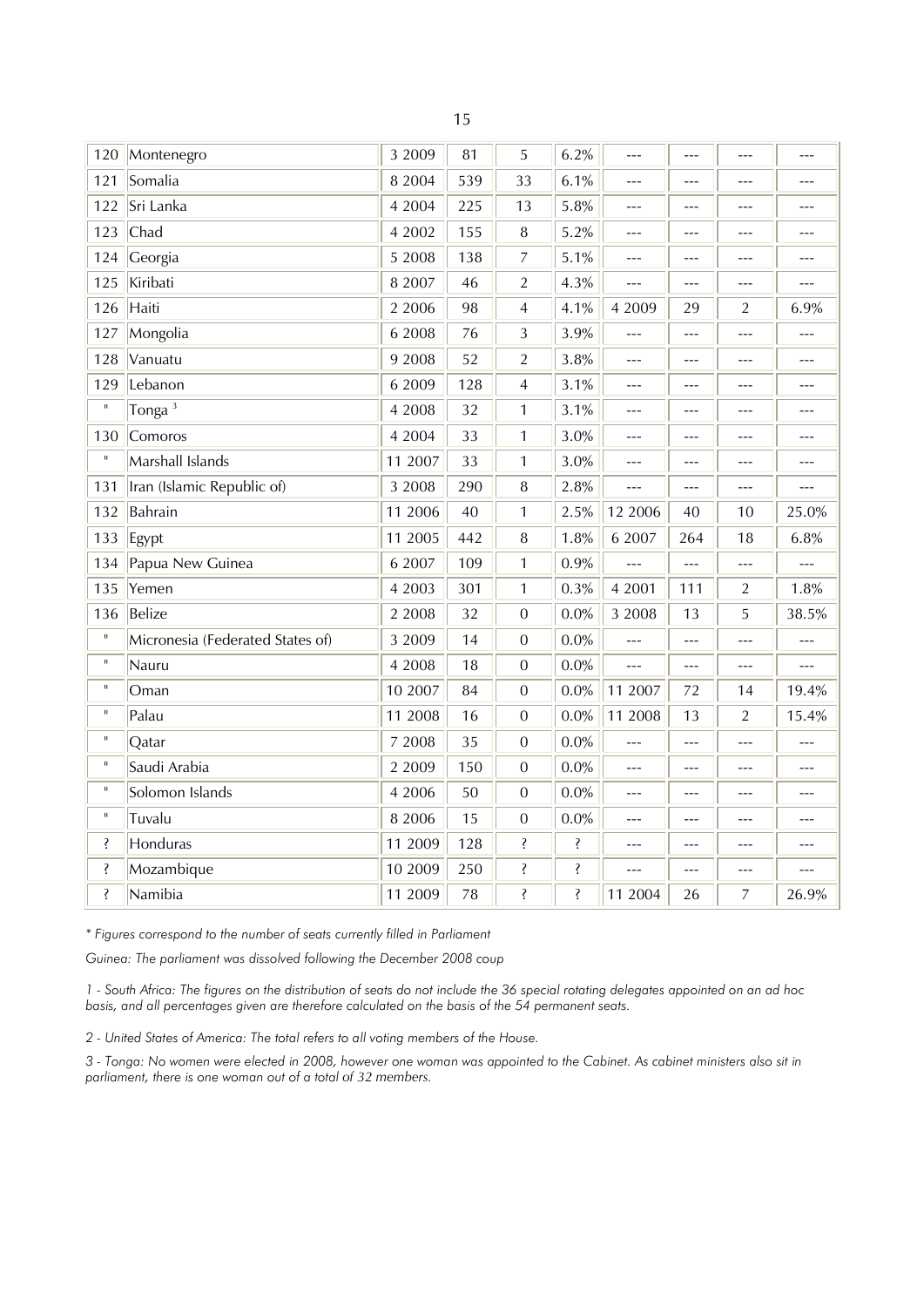| 120          | Montenegro                       | 3 2009    | 81  | 5              | 6.2%    | $ -$           | ---            | ---            |                |
|--------------|----------------------------------|-----------|-----|----------------|---------|----------------|----------------|----------------|----------------|
| 121          | Somalia                          | 8 2004    | 539 | 33             | 6.1%    | ---            | ---            | ---            | ---            |
| 122          | Sri Lanka                        | 4 2004    | 225 | 13             | 5.8%    | ---            | ---            | ---            |                |
| 123          | Chad                             | 4 2002    | 155 | 8              | 5.2%    | ---            | ---            | ---            | ---            |
| 124          | Georgia                          | 5 2008    | 138 | $\overline{7}$ | 5.1%    | ---            | ---            | ---            | $---$          |
| 125          | Kiribati                         | 8 2007    | 46  | $\overline{2}$ | 4.3%    | $\overline{a}$ | ---            | ---            | ---            |
| 126          | Haiti                            | 2 2006    | 98  | $\overline{4}$ | 4.1%    | 4 2009         | 29             | $\overline{2}$ | 6.9%           |
| 127          | Mongolia                         | 6 2008    | 76  | $\mathfrak{Z}$ | 3.9%    | $ -$           | $---$          | $ -$           | ---            |
| 128          | Vanuatu                          | 9 2008    | 52  | $\overline{2}$ | 3.8%    | $ -$           | $\overline{a}$ | ---            | ---            |
| 129          | Lebanon                          | 6 2009    | 128 | $\overline{4}$ | 3.1%    | $\overline{a}$ | ---            | ---            | ---            |
| $\mathsf{H}$ | Tonga <sup>3</sup>               | 4 2008    | 32  | $\mathbf{1}$   | 3.1%    | ---            | ---            | ---            | $---$          |
| 130          | Comoros                          | 4 2004    | 33  | $\mathbf{1}$   | 3.0%    | ---            | $---$          | ---            | $---$          |
| $\rm H$      | Marshall Islands                 | 11 2007   | 33  | $\mathbf{1}$   | 3.0%    | $ -$           | ---            | ---            |                |
| 131          | Iran (Islamic Republic of)       | 3 2008    | 290 | 8              | 2.8%    | ---            | $---$          | ---            | ---            |
| 132          | Bahrain                          | 11 2006   | 40  | $\mathbf{1}$   | 2.5%    | 12 2006        | 40             | 10             | 25.0%          |
| 133          | Egypt                            | 11 2005   | 442 | 8              | 1.8%    | 6 2007         | 264            | 18             | 6.8%           |
| 134          | Papua New Guinea                 | 6 2007    | 109 | $\mathbf{1}$   | 0.9%    | $\overline{a}$ | $- - -$        | ---            | $\overline{a}$ |
| 135          | Yemen                            | 4 2003    | 301 | $\mathbf{1}$   | 0.3%    | 4 2001         | 111            | $\overline{2}$ | 1.8%           |
| 136          | Belize                           | 2 2008    | 32  | $\mathbf{0}$   | 0.0%    | 3 2008         | 13             | 5              | 38.5%          |
| $\mathsf{H}$ | Micronesia (Federated States of) | 3 2009    | 14  | $\mathbf 0$    | 0.0%    | $-$            | $---$          | ---            |                |
| $\mathbf H$  | Nauru                            | 4 2008    | 18  | $\mathbf 0$    | 0.0%    | $- - -$        | $---$          | ---            | ---            |
| $\mathbf H$  | Oman                             | 10 2007   | 84  | $\overline{0}$ | 0.0%    | 11 2007        | 72             | 14             | 19.4%          |
| $\mathbf H$  | Palau                            | 11 2008   | 16  | $\theta$       | $0.0\%$ | 11 2008        | 13             | $\overline{2}$ | 15.4%          |
| $\mathbf H$  | Qatar                            | 7 2008    | 35  | $\mathbf 0$    | 0.0%    | $ -$           | $ -$           | ---            |                |
| $\mathbf H$  | Saudi Arabia                     | 2 2 0 0 9 | 150 | $\mathbf 0$    | 0.0%    | $-$ --         | $- - -$        | $- - -$        | $---$          |
| $\rm H$      | Solomon Islands                  | 4 2006    | 50  | $\overline{0}$ | 0.0%    | $---$          | ---            | $ -$           | ---            |
| $\mathbf H$  | Tuvalu                           | 8 2006    | 15  | $\overline{0}$ | 0.0%    | $ -$           | $\frac{1}{2}$  | ---            | $---$          |
| Ş            | Honduras                         | 11 2009   | 128 | Ş              | Ş       | $ -$           | $ -$           | $-$ --         | $---$          |
| Ş            | Mozambique                       | 10 2009   | 250 | Ş              | Ş       | $---$          | ---            | ---            |                |
| Ş            | Namibia                          | 11 2009   | 78  | Ş              | Ş       | 11 2004        | 26             | 7              | 26.9%          |

*\* Figures correspond to the number of seats currently filled in Parliament* 

*Guinea: The parliament was dissolved following the December 2008 coup* 

*1 - South Africa: The figures on the distribution of seats do not include the 36 special rotating delegates appointed on an ad hoc basis, and all percentages given are therefore calculated on the basis of the 54 permanent seats.* 

*2 - United States of America: The total refers to all voting members of the House.* 

*3 - Tonga: No women were elected in 2008, however one woman was appointed to the Cabinet. As cabinet ministers also sit in parliament, there is one woman out of a total of 32 members.*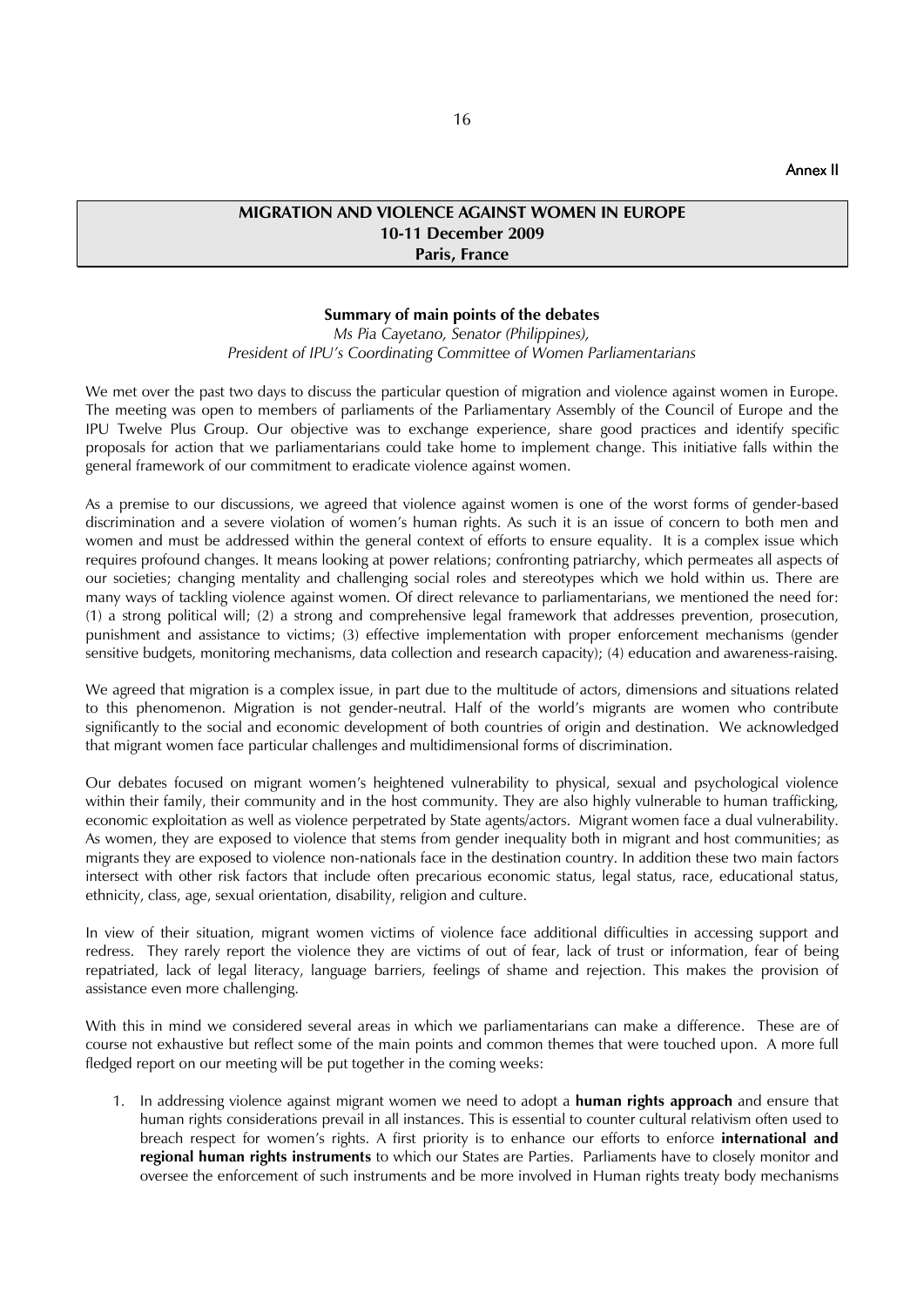Annex II

## **MIGRATION AND VIOLENCE AGAINST WOMEN IN EUROPE 10-11 December 2009 Paris, France**

### **Summary of main points of the debates**

*Ms Pia Cayetano, Senator (Philippines), President of IPU's Coordinating Committee of Women Parliamentarians*

We met over the past two days to discuss the particular question of migration and violence against women in Europe. The meeting was open to members of parliaments of the Parliamentary Assembly of the Council of Europe and the IPU Twelve Plus Group. Our objective was to exchange experience, share good practices and identify specific proposals for action that we parliamentarians could take home to implement change. This initiative falls within the general framework of our commitment to eradicate violence against women.

As a premise to our discussions, we agreed that violence against women is one of the worst forms of gender-based discrimination and a severe violation of women's human rights. As such it is an issue of concern to both men and women and must be addressed within the general context of efforts to ensure equality. It is a complex issue which requires profound changes. It means looking at power relations; confronting patriarchy, which permeates all aspects of our societies; changing mentality and challenging social roles and stereotypes which we hold within us. There are many ways of tackling violence against women. Of direct relevance to parliamentarians, we mentioned the need for: (1) a strong political will; (2) a strong and comprehensive legal framework that addresses prevention, prosecution, punishment and assistance to victims; (3) effective implementation with proper enforcement mechanisms (gender sensitive budgets, monitoring mechanisms, data collection and research capacity); (4) education and awareness-raising.

We agreed that migration is a complex issue, in part due to the multitude of actors, dimensions and situations related to this phenomenon. Migration is not gender-neutral. Half of the world's migrants are women who contribute significantly to the social and economic development of both countries of origin and destination. We acknowledged that migrant women face particular challenges and multidimensional forms of discrimination.

Our debates focused on migrant women's heightened vulnerability to physical, sexual and psychological violence within their family, their community and in the host community. They are also highly vulnerable to human trafficking, economic exploitation as well as violence perpetrated by State agents/actors. Migrant women face a dual vulnerability. As women, they are exposed to violence that stems from gender inequality both in migrant and host communities; as migrants they are exposed to violence non-nationals face in the destination country. In addition these two main factors intersect with other risk factors that include often precarious economic status, legal status, race, educational status, ethnicity, class, age, sexual orientation, disability, religion and culture.

In view of their situation, migrant women victims of violence face additional difficulties in accessing support and redress. They rarely report the violence they are victims of out of fear, lack of trust or information, fear of being repatriated, lack of legal literacy, language barriers, feelings of shame and rejection. This makes the provision of assistance even more challenging.

With this in mind we considered several areas in which we parliamentarians can make a difference. These are of course not exhaustive but reflect some of the main points and common themes that were touched upon. A more full fledged report on our meeting will be put together in the coming weeks:

1. In addressing violence against migrant women we need to adopt a **human rights approach** and ensure that human rights considerations prevail in all instances. This is essential to counter cultural relativism often used to breach respect for women's rights. A first priority is to enhance our efforts to enforce **international and regional human rights instruments** to which our States are Parties. Parliaments have to closely monitor and oversee the enforcement of such instruments and be more involved in Human rights treaty body mechanisms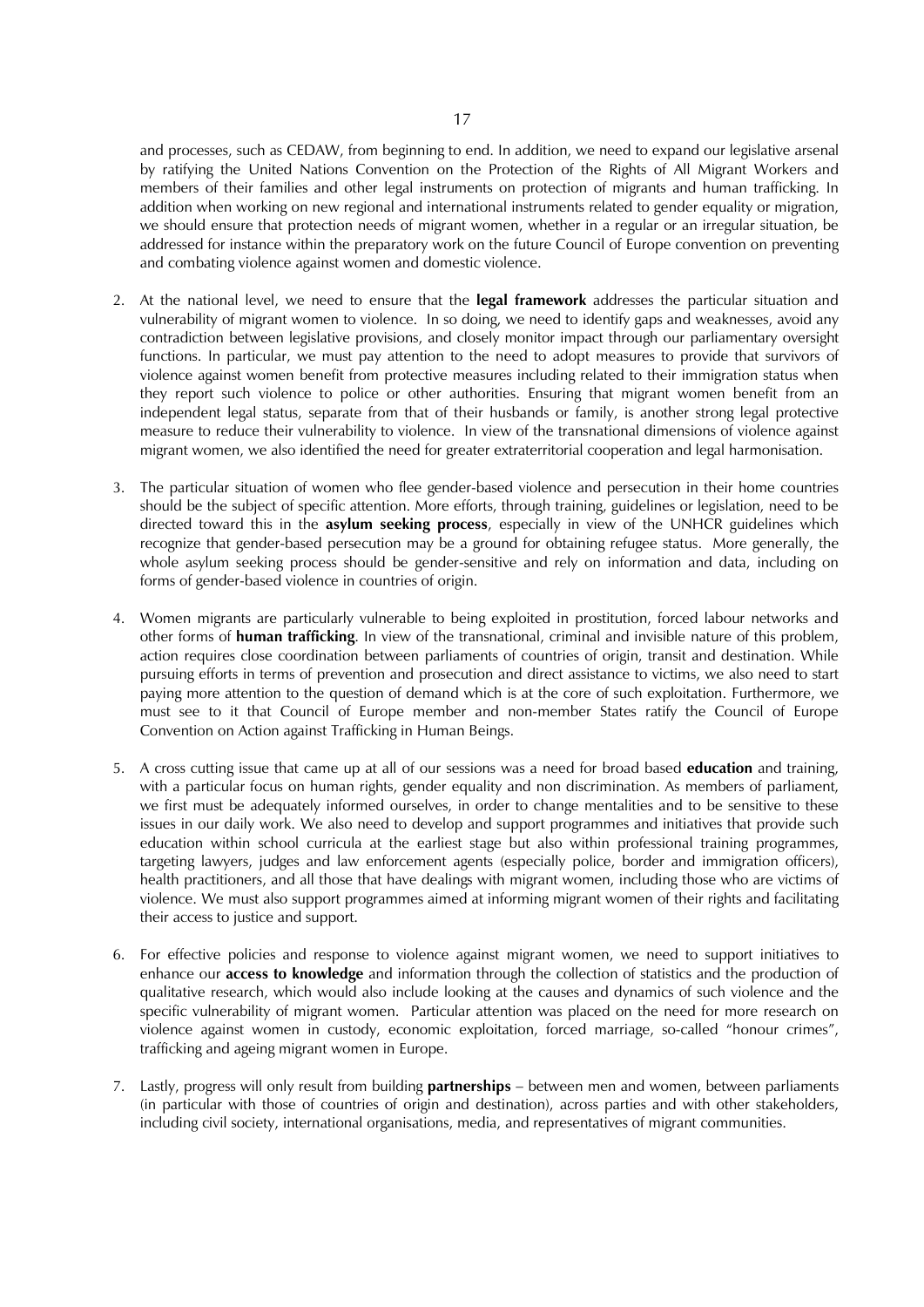and processes, such as CEDAW, from beginning to end. In addition, we need to expand our legislative arsenal by ratifying the United Nations Convention on the Protection of the Rights of All Migrant Workers and members of their families and other legal instruments on protection of migrants and human trafficking. In addition when working on new regional and international instruments related to gender equality or migration, we should ensure that protection needs of migrant women, whether in a regular or an irregular situation, be addressed for instance within the preparatory work on the future Council of Europe convention on preventing and combating violence against women and domestic violence.

- 2. At the national level, we need to ensure that the **legal framework** addresses the particular situation and vulnerability of migrant women to violence. In so doing, we need to identify gaps and weaknesses, avoid any contradiction between legislative provisions, and closely monitor impact through our parliamentary oversight functions. In particular, we must pay attention to the need to adopt measures to provide that survivors of violence against women benefit from protective measures including related to their immigration status when they report such violence to police or other authorities. Ensuring that migrant women benefit from an independent legal status, separate from that of their husbands or family, is another strong legal protective measure to reduce their vulnerability to violence. In view of the transnational dimensions of violence against migrant women, we also identified the need for greater extraterritorial cooperation and legal harmonisation.
- 3. The particular situation of women who flee gender-based violence and persecution in their home countries should be the subject of specific attention. More efforts, through training, guidelines or legislation, need to be directed toward this in the **asylum seeking process**, especially in view of the UNHCR guidelines which recognize that gender-based persecution may be a ground for obtaining refugee status. More generally, the whole asylum seeking process should be gender-sensitive and rely on information and data, including on forms of gender-based violence in countries of origin.
- 4. Women migrants are particularly vulnerable to being exploited in prostitution, forced labour networks and other forms of **human trafficking**. In view of the transnational, criminal and invisible nature of this problem, action requires close coordination between parliaments of countries of origin, transit and destination. While pursuing efforts in terms of prevention and prosecution and direct assistance to victims, we also need to start paying more attention to the question of demand which is at the core of such exploitation. Furthermore, we must see to it that Council of Europe member and non-member States ratify the Council of Europe Convention on Action against Trafficking in Human Beings.
- 5. A cross cutting issue that came up at all of our sessions was a need for broad based **education** and training, with a particular focus on human rights, gender equality and non discrimination. As members of parliament, we first must be adequately informed ourselves, in order to change mentalities and to be sensitive to these issues in our daily work. We also need to develop and support programmes and initiatives that provide such education within school curricula at the earliest stage but also within professional training programmes, targeting lawyers, judges and law enforcement agents (especially police, border and immigration officers), health practitioners, and all those that have dealings with migrant women, including those who are victims of violence. We must also support programmes aimed at informing migrant women of their rights and facilitating their access to justice and support.
- 6. For effective policies and response to violence against migrant women, we need to support initiatives to enhance our **access to knowledge** and information through the collection of statistics and the production of qualitative research, which would also include looking at the causes and dynamics of such violence and the specific vulnerability of migrant women. Particular attention was placed on the need for more research on violence against women in custody, economic exploitation, forced marriage, so-called "honour crimes", trafficking and ageing migrant women in Europe.
- 7. Lastly, progress will only result from building **partnerships** between men and women, between parliaments (in particular with those of countries of origin and destination), across parties and with other stakeholders, including civil society, international organisations, media, and representatives of migrant communities.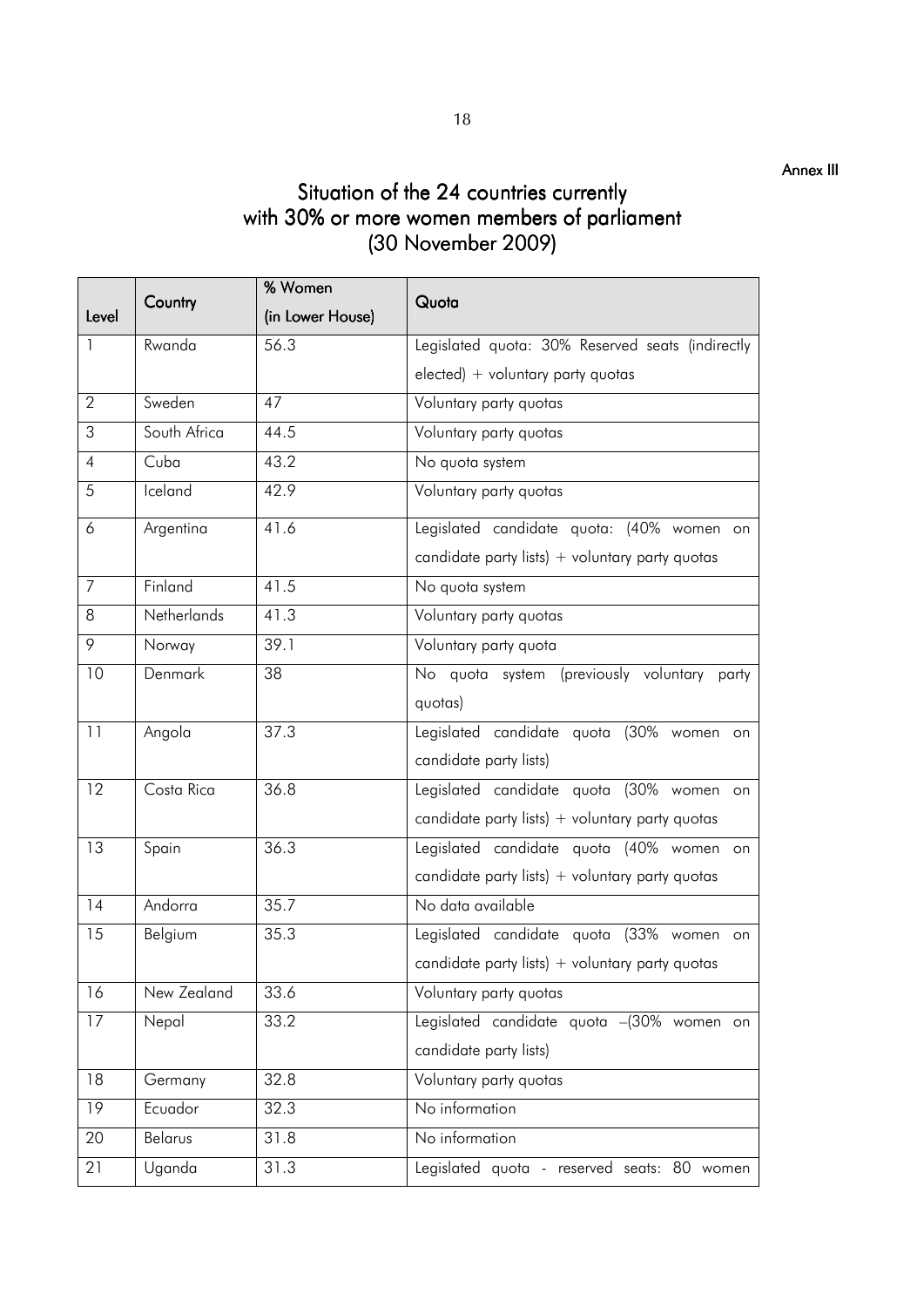## Situation of the 24 countries currently with 30% or more women members of parliament (30 November 2009)

|                | Country      | % Women          | Quota                                            |
|----------------|--------------|------------------|--------------------------------------------------|
| Level          |              | (in Lower House) |                                                  |
| 1              | Rwanda       | 56.3             | Legislated quota: 30% Reserved seats (indirectly |
|                |              |                  | $elected$ ) + voluntary party quotas             |
| $\overline{2}$ | Sweden       | 47               | Voluntary party quotas                           |
| 3              | South Africa | 44.5             | Voluntary party quotas                           |
| $\overline{A}$ | Cuba         | 43.2             | No quota system                                  |
| 5              | Iceland      | 42.9             | Voluntary party quotas                           |
| 6              | Argentina    | 41.6             | Legislated candidate quota: (40% women<br>on     |
|                |              |                  | candidate party lists) + voluntary party quotas  |
| $\overline{7}$ | Finland      | 41.5             | No quota system                                  |
| 8              | Netherlands  | 41.3             | Voluntary party quotas                           |
| 9              | Norway       | 39.1             | Voluntary party quota                            |
| 10             | Denmark      | 38               | No quota system (previously voluntary party      |
|                |              |                  | quotas)                                          |
| 11             | Angola       | 37.3             | Legislated candidate quota (30% women<br>on      |
|                |              |                  | candidate party lists)                           |
| 12             | Costa Rica   | 36.8             | Legislated candidate quota (30% women<br>on      |
|                |              |                  | candidate party lists) + voluntary party quotas  |
| 13             | Spain        | 36.3             | Legislated candidate quota (40% women<br>on      |
|                |              |                  | candidate party lists) + voluntary party quotas  |
| 14             | Andorra      | 35.7             | No data available                                |
| 15             | Belgium      | 35.3             | Legislated candidate quota (33% women<br>on      |
|                |              |                  | candidate party lists) + voluntary party quotas  |
| 16             | New Zealand  | 33.6             | Voluntary party quotas                           |
| 17             | Nepal        | 33.2             | Legislated candidate quota -(30% women on        |
|                |              |                  | candidate party lists)                           |
| 18             | Germany      | 32.8             | Voluntary party quotas                           |
| 19             | Ecuador      | 32.3             | No information                                   |
| 20             | Belarus      | 31.8             | No information                                   |
| 21             | Uganda       | 31.3             | Legislated quota - reserved seats: 80 women      |